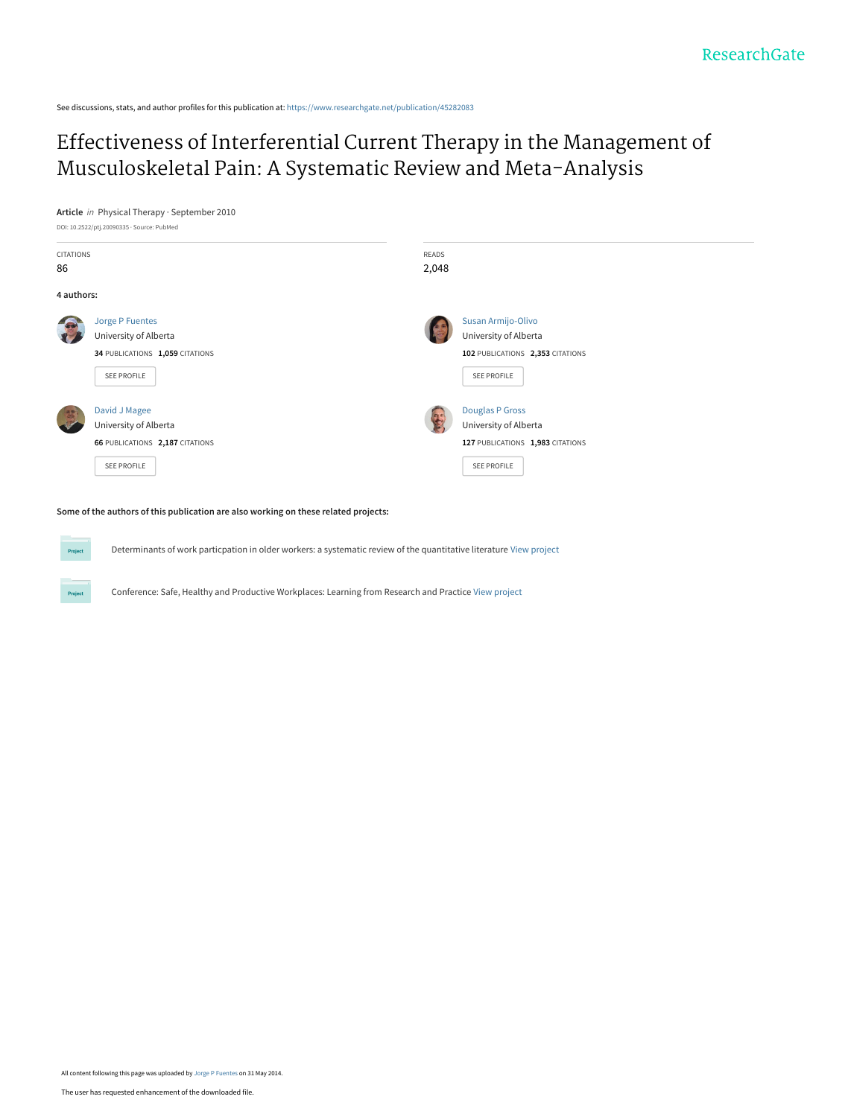See discussions, stats, and author profiles for this publication at: [https://www.researchgate.net/publication/45282083](https://www.researchgate.net/publication/45282083_Effectiveness_of_Interferential_Current_Therapy_in_the_Management_of_Musculoskeletal_Pain_A_Systematic_Review_and_Meta-Analysis?enrichId=rgreq-4aa619e6e434802919d616280fe7ac70-XXX&enrichSource=Y292ZXJQYWdlOzQ1MjgyMDgzO0FTOjEwMjgxNTY3ODU5OTE2OUAxNDAxNTI0NTc2Mjc5&el=1_x_2&_esc=publicationCoverPdf)

[Effectiveness of Interferential Current Therapy in the Management of](https://www.researchgate.net/publication/45282083_Effectiveness_of_Interferential_Current_Therapy_in_the_Management_of_Musculoskeletal_Pain_A_Systematic_Review_and_Meta-Analysis?enrichId=rgreq-4aa619e6e434802919d616280fe7ac70-XXX&enrichSource=Y292ZXJQYWdlOzQ1MjgyMDgzO0FTOjEwMjgxNTY3ODU5OTE2OUAxNDAxNTI0NTc2Mjc5&el=1_x_3&_esc=publicationCoverPdf) Musculoskeletal Pain: A Systematic Review and Meta-Analysis

**Article** in Physical Therapy · September 2010



**Some of the authors of this publication are also working on these related projects:**

Determinants of work particpation in older workers: a systematic review of the quantitative literature [View project](https://www.researchgate.net/project/Determinants-of-work-particpation-in-older-workers-a-systematic-review-of-the-quantitative-literature?enrichId=rgreq-4aa619e6e434802919d616280fe7ac70-XXX&enrichSource=Y292ZXJQYWdlOzQ1MjgyMDgzO0FTOjEwMjgxNTY3ODU5OTE2OUAxNDAxNTI0NTc2Mjc5&el=1_x_9&_esc=publicationCoverPdf)

Conference: Safe, Healthy and Productive Workplaces: Learning from Research and Practice [View project](https://www.researchgate.net/project/Conference-Safe-Healthy-and-Productive-Workplaces-Learning-from-Research-and-Practice?enrichId=rgreq-4aa619e6e434802919d616280fe7ac70-XXX&enrichSource=Y292ZXJQYWdlOzQ1MjgyMDgzO0FTOjEwMjgxNTY3ODU5OTE2OUAxNDAxNTI0NTc2Mjc5&el=1_x_9&_esc=publicationCoverPdf)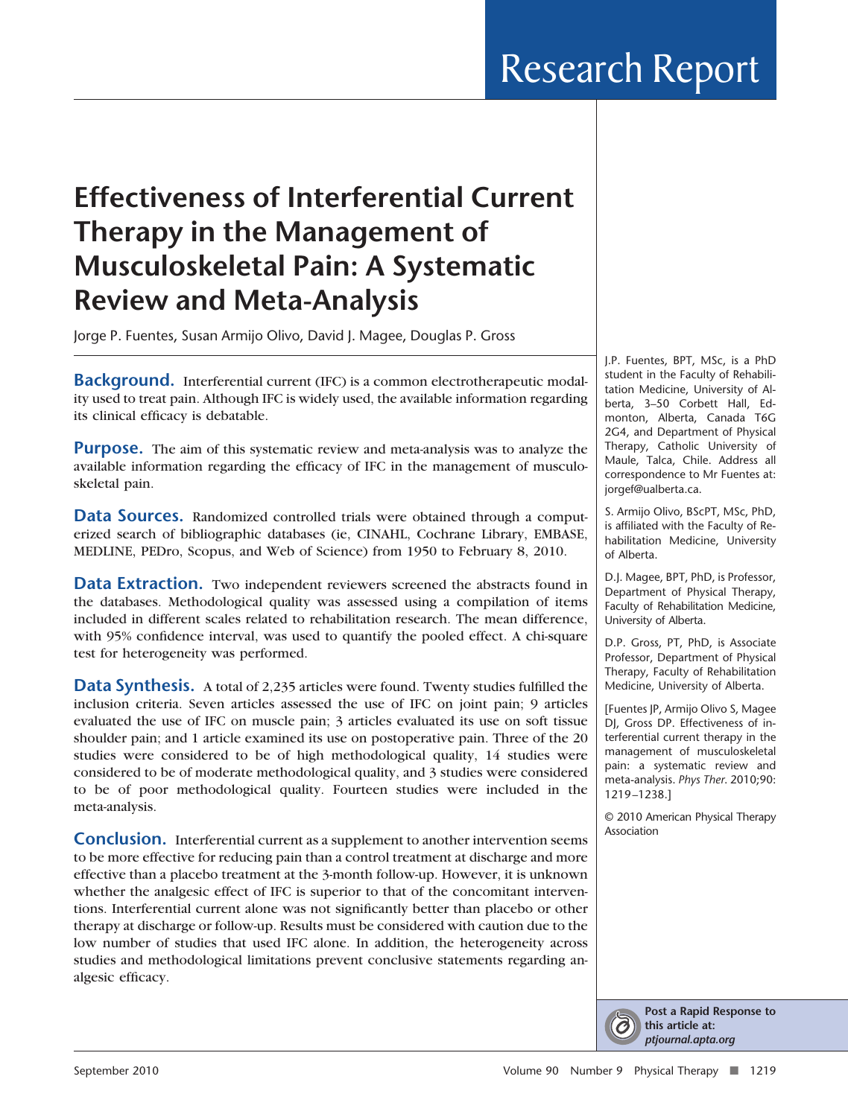# **Effectiveness of Interferential Current Therapy in the Management of Musculoskeletal Pain: A Systematic Review and Meta-Analysis**

Jorge P. Fuentes, Susan Armijo Olivo, David J. Magee, Douglas P. Gross

**Background.** Interferential current (IFC) is a common electrotherapeutic modality used to treat pain. Although IFC is widely used, the available information regarding its clinical efficacy is debatable.

**Purpose.** The aim of this systematic review and meta-analysis was to analyze the available information regarding the efficacy of IFC in the management of musculoskeletal pain.

**Data Sources.** Randomized controlled trials were obtained through a computerized search of bibliographic databases (ie, CINAHL, Cochrane Library, EMBASE, MEDLINE, PEDro, Scopus, and Web of Science) from 1950 to February 8, 2010.

**Data Extraction.** Two independent reviewers screened the abstracts found in the databases. Methodological quality was assessed using a compilation of items included in different scales related to rehabilitation research. The mean difference, with 95% confidence interval, was used to quantify the pooled effect. A chi-square test for heterogeneity was performed.

**Data Synthesis.** A total of 2,235 articles were found. Twenty studies fulfilled the inclusion criteria. Seven articles assessed the use of IFC on joint pain; 9 articles evaluated the use of IFC on muscle pain; 3 articles evaluated its use on soft tissue shoulder pain; and 1 article examined its use on postoperative pain. Three of the 20 studies were considered to be of high methodological quality, 14 studies were considered to be of moderate methodological quality, and 3 studies were considered to be of poor methodological quality. Fourteen studies were included in the meta-analysis.

**Conclusion.** Interferential current as a supplement to another intervention seems to be more effective for reducing pain than a control treatment at discharge and more effective than a placebo treatment at the 3-month follow-up. However, it is unknown whether the analgesic effect of IFC is superior to that of the concomitant interventions. Interferential current alone was not significantly better than placebo or other therapy at discharge or follow-up. Results must be considered with caution due to the low number of studies that used IFC alone. In addition, the heterogeneity across studies and methodological limitations prevent conclusive statements regarding analgesic efficacy.

J.P. Fuentes, BPT, MSc, is a PhD student in the Faculty of Rehabilitation Medicine, University of Alberta, 3–50 Corbett Hall, Edmonton, Alberta, Canada T6G 2G4, and Department of Physical Therapy, Catholic University of Maule, Talca, Chile. Address all correspondence to Mr Fuentes at: jorgef@ualberta.ca.

S. Armijo Olivo, BScPT, MSc, PhD, is affiliated with the Faculty of Rehabilitation Medicine, University of Alberta.

D.J. Magee, BPT, PhD, is Professor, Department of Physical Therapy, Faculty of Rehabilitation Medicine, University of Alberta.

D.P. Gross, PT, PhD, is Associate Professor, Department of Physical Therapy, Faculty of Rehabilitation Medicine, University of Alberta.

[Fuentes JP, Armijo Olivo S, Magee DJ, Gross DP. Effectiveness of interferential current therapy in the management of musculoskeletal pain: a systematic review and meta-analysis. *Phys Ther*. 2010;90: 1219–1238.]

© 2010 American Physical Therapy Association

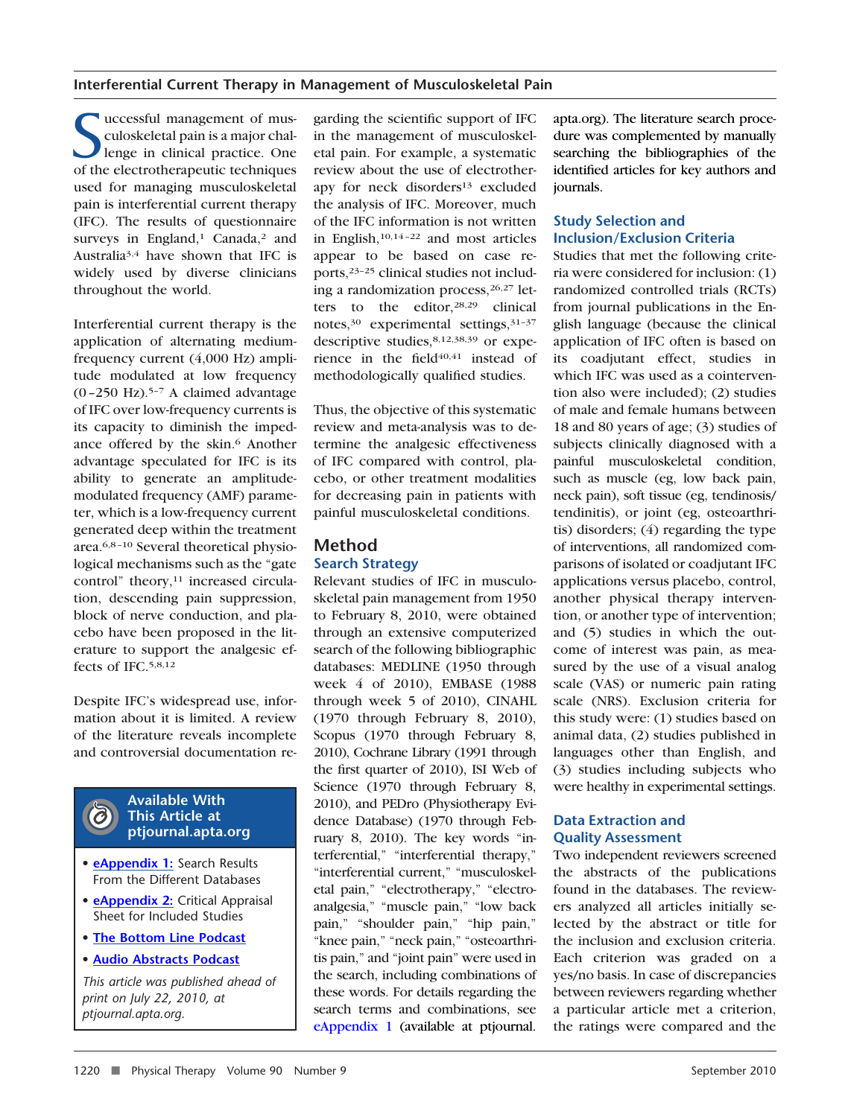Successful management of mus-<br>
culoskeletal pain is a major chal-<br>
lenge in clinical practice. One<br>
of the electrotherapeutic techniques uccessful management of musculoskeletal pain is a major challenge in clinical practice. One used for managing musculoskeletal pain is interferential current therapy (IFC). The results of questionnaire surveys in England,<sup>1</sup> Canada,<sup>2</sup> and Australia3,4 have shown that IFC is widely used by diverse clinicians throughout the world.

Interferential current therapy is the application of alternating mediumfrequency current (4,000 Hz) amplitude modulated at low frequency  $(0-250 \text{ Hz})$ .<sup>5-7</sup> A claimed advantage of IFC over low-frequency currents is its capacity to diminish the impedance offered by the skin.<sup>6</sup> Another advantage speculated for IFC is its ability to generate an amplitudemodulated frequency (AMF) parameter, which is a low-frequency current generated deep within the treatment area.6,8 –10 Several theoretical physiological mechanisms such as the "gate control" theory,<sup>11</sup> increased circulation, descending pain suppression, block of nerve conduction, and placebo have been proposed in the literature to support the analgesic effects of IFC.5,8,12

Despite IFC's widespread use, information about it is limited. A review of the literature reveals incomplete and controversial documentation re-

#### **Available With**  $\boldsymbol{\varnothing}$ **This Article at ptjournal.apta.org**

- **• [eAppendix 1:](http://ptjournal.apta.org/cgi/content/full/90/9/1219/DC1)** Search Results From the Different Databases
- **• [eAppendix 2:](http://ptjournal.apta.org/cgi/content/full/90/9/1219/DC1)** Critical Appraisal Sheet for Included Studies
- **• [The Bottom Line Podcast](http://ptjournal.apta.org/cgi/content/full/90/9/DC1)**
- **• [Audio Abstracts Podcast](http://ptjournal.apta.org/cgi/content/full/90/9/DC1)**

*This article was published ahead of print on July 22, 2010, at ptjournal.apta.org.*

garding the scientific support of IFC in the management of musculoskeletal pain. For example, a systematic review about the use of electrotherapy for neck disorders<sup>13</sup> excluded the analysis of IFC. Moreover, much of the IFC information is not written in English,10,14 –22 and most articles appear to be based on case reports,23–25 clinical studies not including a randomization process,26,27 letters to the editor,28,29 clinical notes,30 experimental settings,31–37 descriptive studies,8,12,38,39 or experience in the field<sup>40,41</sup> instead of methodologically qualified studies.

Thus, the objective of this systematic review and meta-analysis was to determine the analgesic effectiveness of IFC compared with control, placebo, or other treatment modalities for decreasing pain in patients with painful musculoskeletal conditions.

# **Method Search Strategy**

Relevant studies of IFC in musculoskeletal pain management from 1950 to February 8, 2010, were obtained through an extensive computerized search of the following bibliographic databases: MEDLINE (1950 through week 4 of 2010), EMBASE (1988 through week 5 of 2010), CINAHL (1970 through February 8, 2010), Scopus (1970 through February 8, 2010), Cochrane Library (1991 through the first quarter of 2010), ISI Web of Science (1970 through February 8, 2010), and PEDro (Physiotherapy Evidence Database) (1970 through February 8, 2010). The key words "interferential," "interferential therapy," "interferential current," "musculoskeletal pain," "electrotherapy," "electroanalgesia," "muscle pain," "low back pain," "shoulder pain," "hip pain," "knee pain," "neck pain," "osteoarthritis pain," and "joint pain" were used in the search, including combinations of these words. For details regarding the search terms and combinations, see [eAppendix 1](http://ptjournal.apta.org/cgi/content/full/90/9/1219/DC1) (available at ptjournal.

apta.org). The literature search procedure was complemented by manually searching the bibliographies of the identified articles for key authors and journals.

## **Study Selection and Inclusion/Exclusion Criteria**

Studies that met the following criteria were considered for inclusion: (1) randomized controlled trials (RCTs) from journal publications in the English language (because the clinical application of IFC often is based on its coadjutant effect, studies in which IFC was used as a cointervention also were included); (2) studies of male and female humans between 18 and 80 years of age; (3) studies of subjects clinically diagnosed with a painful musculoskeletal condition, such as muscle (eg, low back pain, neck pain), soft tissue (eg, tendinosis/ tendinitis), or joint (eg, osteoarthritis) disorders;  $(4)$  regarding the type of interventions, all randomized comparisons of isolated or coadjutant IFC applications versus placebo, control, another physical therapy intervention, or another type of intervention; and (5) studies in which the outcome of interest was pain, as measured by the use of a visual analog scale (VAS) or numeric pain rating scale (NRS). Exclusion criteria for this study were: (1) studies based on animal data, (2) studies published in languages other than English, and (3) studies including subjects who were healthy in experimental settings.

#### **Data Extraction and Quality Assessment**

Two independent reviewers screened the abstracts of the publications found in the databases. The reviewers analyzed all articles initially selected by the abstract or title for the inclusion and exclusion criteria. Each criterion was graded on a yes/no basis. In case of discrepancies between reviewers regarding whether a particular article met a criterion, the ratings were compared and the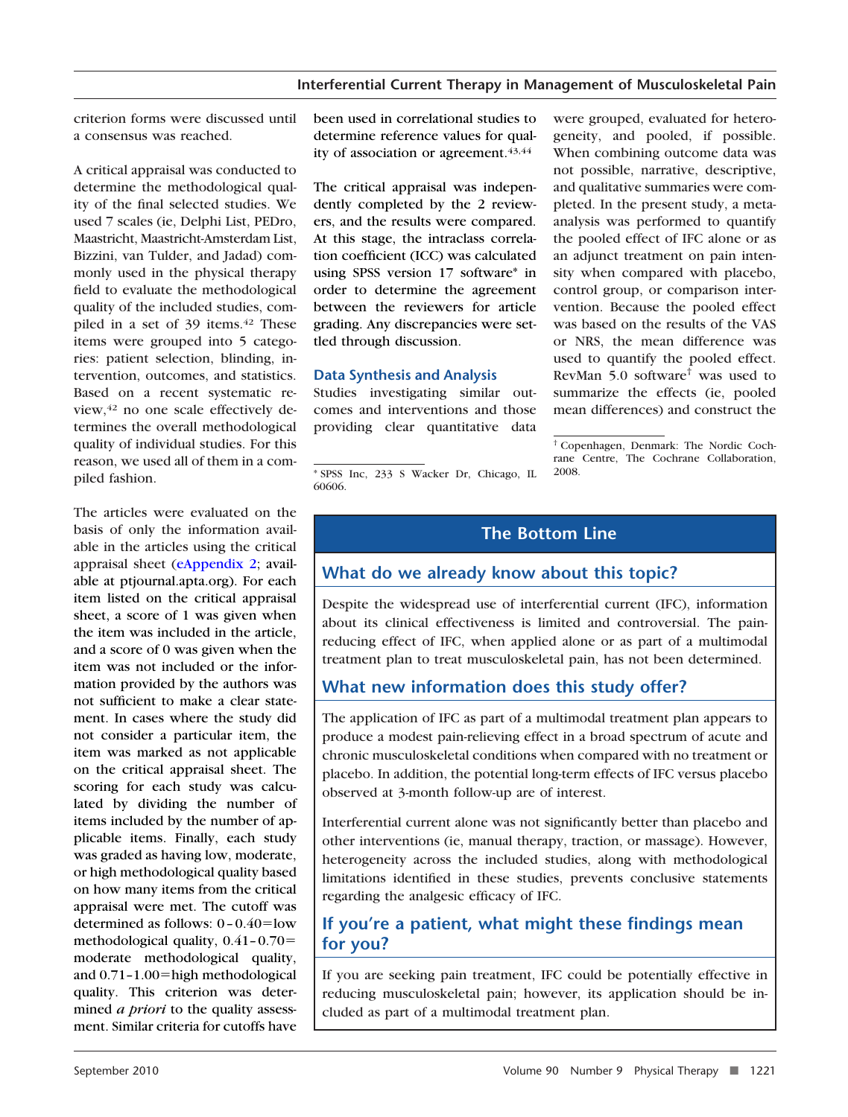criterion forms were discussed until a consensus was reached.

A critical appraisal was conducted to determine the methodological quality of the final selected studies. We used 7 scales (ie, Delphi List, PEDro, Maastricht, Maastricht-Amsterdam List, Bizzini, van Tulder, and Jadad) commonly used in the physical therapy field to evaluate the methodological quality of the included studies, compiled in a set of 39 items.<sup>42</sup> These items were grouped into 5 categories: patient selection, blinding, intervention, outcomes, and statistics. Based on a recent systematic review,42 no one scale effectively determines the overall methodological quality of individual studies. For this reason, we used all of them in a compiled fashion.

The articles were evaluated on the basis of only the information available in the articles using the critical appraisal sheet [\(eAppendix 2;](http://ptjournal.apta.org/cgi/content/full/90/9/1219/DC1) available at ptjournal.apta.org). For each item listed on the critical appraisal sheet, a score of 1 was given when the item was included in the article, and a score of 0 was given when the item was not included or the information provided by the authors was not sufficient to make a clear statement. In cases where the study did not consider a particular item, the item was marked as not applicable on the critical appraisal sheet. The scoring for each study was calculated by dividing the number of items included by the number of applicable items. Finally, each study was graded as having low, moderate, or high methodological quality based on how many items from the critical appraisal were met. The cutoff was determined as follows:  $0 - 0.40 =$ low methodological quality,  $0.41 - 0.70 =$ moderate methodological quality, and  $0.71$ -1.00 = high methodological quality. This criterion was determined *a priori* to the quality assessment. Similar criteria for cutoffs have been used in correlational studies to determine reference values for quality of association or agreement.<sup>43,44</sup>

The critical appraisal was independently completed by the 2 reviewers, and the results were compared. At this stage, the intraclass correlation coefficient (ICC) was calculated using SPSS version 17 software\* in order to determine the agreement between the reviewers for article grading. Any discrepancies were settled through discussion.

## **Data Synthesis and Analysis**

Studies investigating similar outcomes and interventions and those providing clear quantitative data

\* SPSS Inc, 233 S Wacker Dr, Chicago, IL 60606.

were grouped, evaluated for heterogeneity, and pooled, if possible. When combining outcome data was not possible, narrative, descriptive, and qualitative summaries were completed. In the present study, a metaanalysis was performed to quantify the pooled effect of IFC alone or as an adjunct treatment on pain intensity when compared with placebo, control group, or comparison intervention. Because the pooled effect was based on the results of the VAS or NRS, the mean difference was used to quantify the pooled effect. RevMan 5.0 software† was used to summarize the effects (ie, pooled mean differences) and construct the

# **The Bottom Line**

# **What do we already know about this topic?**

Despite the widespread use of interferential current (IFC), information about its clinical effectiveness is limited and controversial. The painreducing effect of IFC, when applied alone or as part of a multimodal treatment plan to treat musculoskeletal pain, has not been determined.

# **What new information does this study offer?**

The application of IFC as part of a multimodal treatment plan appears to produce a modest pain-relieving effect in a broad spectrum of acute and chronic musculoskeletal conditions when compared with no treatment or placebo. In addition, the potential long-term effects of IFC versus placebo observed at 3-month follow-up are of interest.

Interferential current alone was not significantly better than placebo and other interventions (ie, manual therapy, traction, or massage). However, heterogeneity across the included studies, along with methodological limitations identified in these studies, prevents conclusive statements regarding the analgesic efficacy of IFC.

# **If you're a patient, what might these findings mean for you?**

If you are seeking pain treatment, IFC could be potentially effective in reducing musculoskeletal pain; however, its application should be included as part of a multimodal treatment plan.

<sup>†</sup> Copenhagen, Denmark: The Nordic Cochrane Centre, The Cochrane Collaboration, 2008.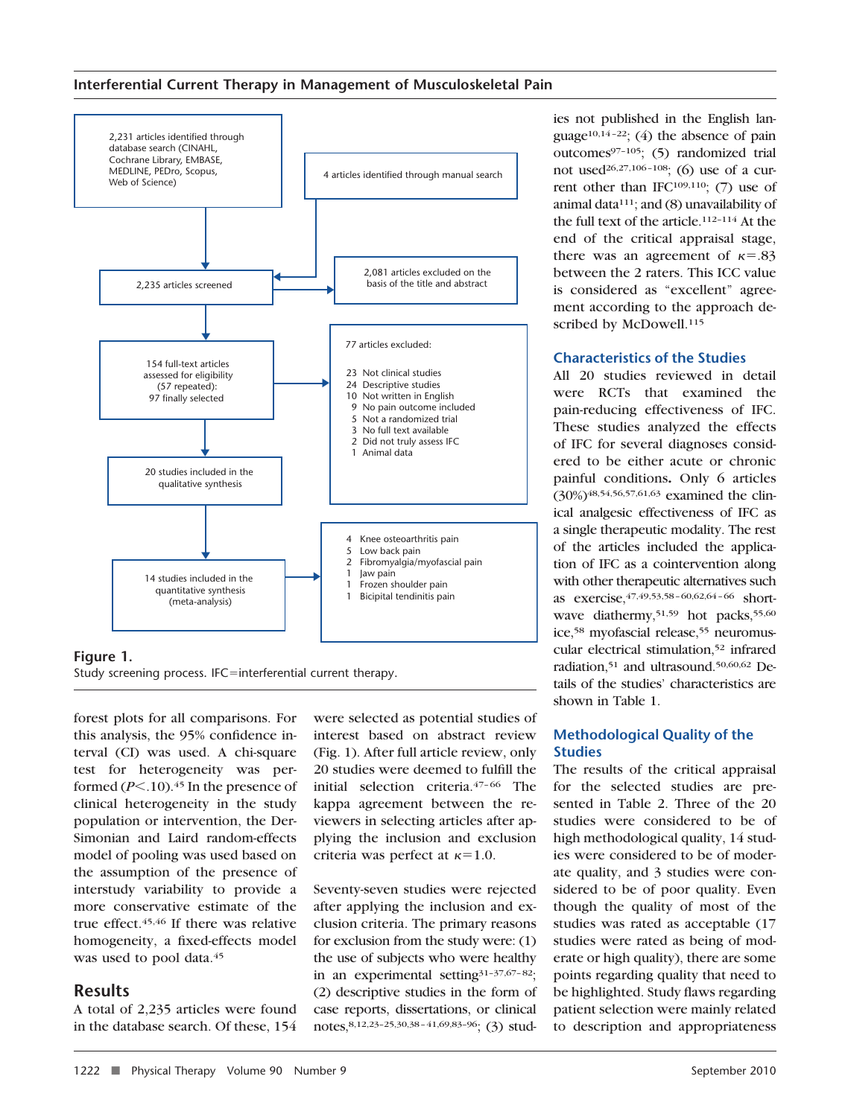

#### **Figure 1.**

forest plots for all comparisons. For this analysis, the 95% confidence interval (CI) was used. A chi-square test for heterogeneity was performed  $(P<.10).$ <sup>45</sup> In the presence of clinical heterogeneity in the study population or intervention, the Der-Simonian and Laird random-effects model of pooling was used based on the assumption of the presence of interstudy variability to provide a more conservative estimate of the true effect.45,46 If there was relative homogeneity, a fixed-effects model was used to pool data.<sup>45</sup>

# **Results**

A total of 2,235 articles were found in the database search. Of these, 154 were selected as potential studies of interest based on abstract review (Fig. 1). After full article review, only 20 studies were deemed to fulfill the initial selection criteria.<sup>47-66</sup> The kappa agreement between the reviewers in selecting articles after applying the inclusion and exclusion criteria was perfect at  $\kappa$ =1.0.

Seventy-seven studies were rejected after applying the inclusion and exclusion criteria. The primary reasons for exclusion from the study were: (1) the use of subjects who were healthy in an experimental setting31–37,67–82; (2) descriptive studies in the form of case reports, dissertations, or clinical notes,8,12,23–25,30,38 –41,69,83–96; (3) studies not published in the English language<sup>10,14-22</sup>; (4) the absence of pain outcomes97–105; (5) randomized trial not used<sup>26,27,106-108</sup>; (6) use of a current other than IFC<sup>109,110</sup>; (7) use of animal data $111$ ; and (8) unavailability of the full text of the article.<sup>112-114</sup> At the end of the critical appraisal stage, there was an agreement of  $\kappa = .83$ between the 2 raters. This ICC value is considered as "excellent" agreement according to the approach described by McDowell.<sup>115</sup>

#### **Characteristics of the Studies**

All 20 studies reviewed in detail were RCTs that examined the pain-reducing effectiveness of IFC. These studies analyzed the effects of IFC for several diagnoses considered to be either acute or chronic painful conditions**.** Only 6 articles (30%)48,54,56,57,61,63 examined the clinical analgesic effectiveness of IFC as a single therapeutic modality. The rest of the articles included the application of IFC as a cointervention along with other therapeutic alternatives such as exercise,47,49,53,58 –60,62,64 –66 shortwave diathermy,<sup>51,59</sup> hot packs,<sup>55,60</sup> ice,58 myofascial release,55 neuromuscular electrical stimulation,<sup>52</sup> infrared radiation,51 and ultrasound.50,60,62 Details of the studies' characteristics are shown in Table 1.

## **Methodological Quality of the Studies**

The results of the critical appraisal for the selected studies are presented in Table 2. Three of the 20 studies were considered to be of high methodological quality, 14 studies were considered to be of moderate quality, and 3 studies were considered to be of poor quality. Even though the quality of most of the studies was rated as acceptable (17 studies were rated as being of moderate or high quality), there are some points regarding quality that need to be highlighted. Study flaws regarding patient selection were mainly related to description and appropriateness

Study screening process. IFC=interferential current therapy.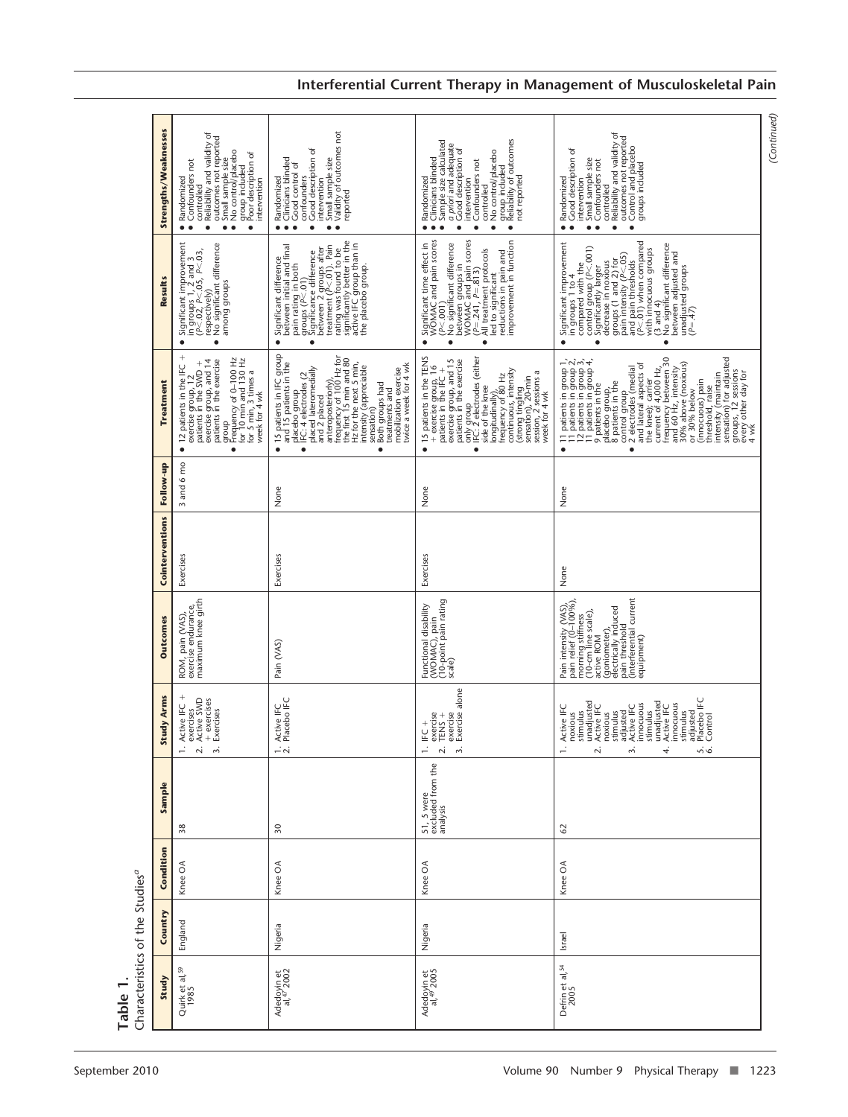|                    | Characteristics of the Studies <sup>a</sup><br>Country | Condition | Sample                                      | <b>Study Arms</b>                                                                                                                                                                                                                                                                | <b>Outcomes</b>                                                                                                                                                                                              | <b>Cointerventions</b> | Follow-up  | <b>Treatment</b>                                                                                                                                                                                                                                                                                                                                                                                                                                                                                                                                       | <b>Results</b>                                                                                                                                                                                                                                                                                                                                                                                                        | Strengths/Weaknesses                                                                                                                                                                                                                                                                                                                |
|--------------------|--------------------------------------------------------|-----------|---------------------------------------------|----------------------------------------------------------------------------------------------------------------------------------------------------------------------------------------------------------------------------------------------------------------------------------|--------------------------------------------------------------------------------------------------------------------------------------------------------------------------------------------------------------|------------------------|------------|--------------------------------------------------------------------------------------------------------------------------------------------------------------------------------------------------------------------------------------------------------------------------------------------------------------------------------------------------------------------------------------------------------------------------------------------------------------------------------------------------------------------------------------------------------|-----------------------------------------------------------------------------------------------------------------------------------------------------------------------------------------------------------------------------------------------------------------------------------------------------------------------------------------------------------------------------------------------------------------------|-------------------------------------------------------------------------------------------------------------------------------------------------------------------------------------------------------------------------------------------------------------------------------------------------------------------------------------|
| Knee OA<br>England |                                                        |           | 38                                          | 1. Active IFC +<br>2. Active SWD<br>$+$ exercises<br>3. Exercises<br>exercises                                                                                                                                                                                                   | ROM, pain (VAS),<br>exercise endurance,<br>maximum knee girth                                                                                                                                                | Exercises              | 3 and 6 mo | $^{+}$<br>Frequency of 0–100 Hz<br>for 10 min and 130 Hz<br>for 5 min, 3 times a<br>exercise group, $12$<br>patients in the SWD +<br>exercise group, and 14<br>patients in the exercise<br>12 patients in the IFC<br>week for 4 wk<br>group<br>$\bullet$<br>$\bullet$                                                                                                                                                                                                                                                                                  | Significant improvement<br>in groups 1, 2 and 3<br>( $P < 0.02$ , $P < 0.05$ , $P < 0.03$ ,<br>respectively)<br>• No significant difference<br>among groups<br>$\bullet$<br>$\bullet$                                                                                                                                                                                                                                 | Reliability and validity of<br>outcomes not reported<br>$\bullet$ Small sample size<br>$\bullet$ No control/placebo<br>group included<br>$\bullet$ Poor description of<br>Confounders not<br>Randomized<br>intervention<br>controlled<br>$\bullet$ $\bullet$<br>$\bullet$                                                           |
| Knee OA<br>Nigeria |                                                        |           | 30                                          | Active IFC<br>Placebo IFC<br>$\div \infty$                                                                                                                                                                                                                                       | Pain (VAS)                                                                                                                                                                                                   | Exercises              | None       | 15 patients in IFC group<br>and 15 patients in the<br>anteroposteriorly),<br>frequency of 100 Hz for<br>the first 15 min and 80<br>Hz for the next 5 min,<br>mobilization exercise<br>twice a week for 4 wk<br>intensity (appreciable<br>placebo <sup>i</sup> group<br>• IFC: 4 electrodes (2<br>placed lateromedially<br>and 2 placed<br>Both groups had<br>treatments and<br>sensation)<br>$\bullet$<br>$\bullet$<br>$\bullet$                                                                                                                       | • Significant difference<br>pain rating in both<br>pain rating in both<br>pains ( $Pc(21)$ )<br>serveen 2 groups after<br>between 2 groups after<br>rating was ( $C<21$ ), bai<br>rating was ( $C<21$ ), bai<br>ating was ( $C<21$ ), bai<br>significantly b<br>$\bullet$<br>٠                                                                                                                                        | Small sample size<br>Validity of outcomes not<br>Good description of<br>Randomized<br>Clinicians blinded<br>Good control of<br>confounders<br>intervention<br>reported<br>$\bullet$<br>$\bullet\bullet\bullet$<br>$\bullet\; \bullet$                                                                                               |
| Nigeria            |                                                        | Knee OA   | 51, 5 were<br>excluded from the<br>analysis | 3. Exercise alone<br>exercise<br>TENS +<br>exercise<br>$1.$ IFC +<br>$\overline{\sim}$                                                                                                                                                                                           | Functional disability<br>(WOMAC), pain<br>(10-point pain rating<br>scale)                                                                                                                                    | Exercises              | None       | 15 patients in the TENS<br>only group<br>IFC: 2 electrodes (either<br>side of the knee<br>+ exercise group, 16<br>patients in the IFC +<br>exercise group, and 15<br>patients in the exercise<br>continuous, intensity<br>$(\text{strong tinging} \ \text{senation})$ , 20-min<br>sensation), 20-min<br>session, 2 sessions a<br>frequency of 80 Hz<br>week for 4 wk<br>longitudinally<br>$\bullet$<br>$\bullet$                                                                                                                                       | Significant time effect in<br>WOMAC and pain scores<br>(P<.001)<br>between groups in<br>(POMAC and pain scores<br>(POMAC and pain scores<br>(POMAC and pain scores<br>M treatment protocols<br>led to significant<br>improvement in function<br>improvement in function<br>No significant difference<br>$\bullet$<br>$\bullet$<br>$\bullet$                                                                           | group included<br>Reliability of outcomes<br>Clinicians blinded<br>Sample size calculated<br><i>a priori</i> and adequate<br>Good description of<br>No control/placebo<br>Confounders not<br>not reported<br>Randomized<br>intervention<br>controlled<br>$\bullet$<br>$\bullet$<br>$\bullet$<br>$\bullet$<br>$\bullet$<br>$\bullet$ |
| Israel             |                                                        | Knee OA   | 62                                          | Placebo IFC<br>unadjusted<br>unadjusted<br>Active IFC<br>innocuous<br>innocuous<br>adjusted<br>Active IFC<br>Active IFC<br>Active IFC<br>stimulus<br>stimulus<br>stimulus<br>stimulus<br>noxious<br>adjusted<br>noxious<br>Control<br>$\overline{a}$<br>56.<br>$\sim$<br>4.<br>2 | pain threshold<br>(interferential current<br>Pain intensity (VAS),<br>pain relief (0–100%),<br>morning stiffness<br>(10-cm line scale),<br>(goniometer),<br>electrically induced<br>active ROM<br>equipment) | None                   | None       | sensation) for adjusted<br>the knee); carrier<br>current of 4,000 Hz,<br>frequency between 30<br>and 60 Hz, intensity<br>30% above (noxious)<br>11 patients in group 1,<br>11 patients in group 2,<br>12 patients in group 3,<br>11 patients in group 4,<br>9 patients in the<br>control group<br>2 electrodes (medial<br>and lateral aspects of<br>groups, 12 sessions<br>every other day for<br>4 wk<br>intensity (maintain<br>(innocuous) pain<br>placebo group,<br>8 patients in the<br>threshold, raise<br>or 30% below<br>$\bullet$<br>$\bullet$ | and pain thresholds<br>( $P < 0$ 1) when compared<br>with innocuous groups<br>Significant improvement<br>(3 and 4)<br>No significant difference<br>control group $(F < .001)$<br>Significantly larger<br>decrease in noxious<br>groups (1 and 2) for<br>pain intensity $(F < .05)$<br>between adjusted and<br>in groups 1 to 4<br>compared with the<br>unadjusted groups<br>$(P = 47)$<br>$\bullet$<br>$\bullet$<br>٠ | Reliability and validity of<br>outcomes not reported<br>Control and placebo<br>Good description of<br>Small sample size<br>Confounders not<br>groups included<br>Randomized<br>intervention<br>controlled<br>$\bullet\bullet$<br>$\bullet\bullet$<br>$\bullet$<br>$\bullet$                                                         |

(Continued) *(Continued)*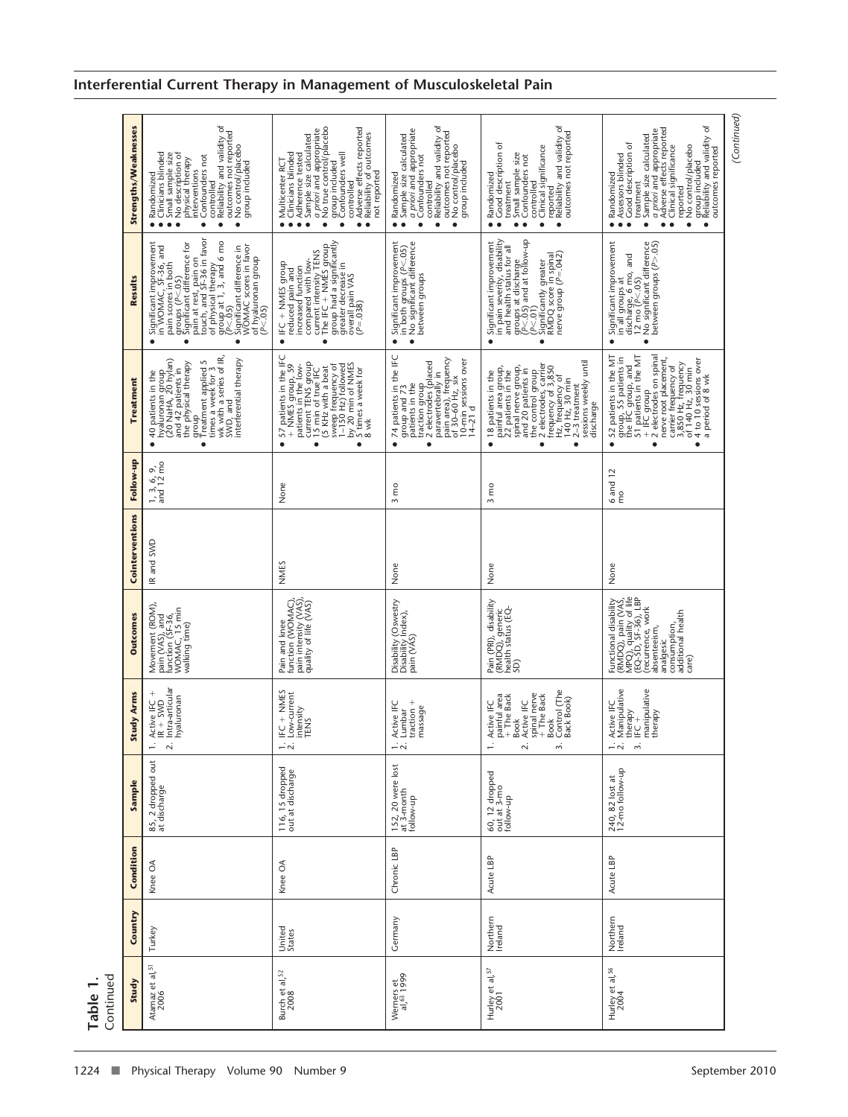|                      | Strengths/Weaknesses   | Reliability and validity of<br>outcomés not reportéd<br>No control/placebo<br>group included<br>Clinicians blinded<br>Small sample size<br>No description of<br>Physical therapy<br>Confounders not<br>interventions<br>Randomized<br>controlled<br>$\bullet$<br>$\bullet$<br>$\bullet$<br>$\bullet$<br>$\bullet$                                                                       | a priori and appropriate<br>No true control/placebo<br>Adverse effects reported<br>Reliability of outcomes<br>not reported<br>Sample size calculated<br>Clinicians blinded<br>group included<br>Confounders well<br>Adherence tested<br>Multicenter RCT<br>controlled<br>$\bullet$<br>$\bullet$<br>$\bullet$<br>$\bullet\; \bullet$<br>$\bullet$<br>$\bullet$ | Reliability and validity of<br>outcomes not reported<br>Sample size calculated<br><i>a priori</i> and appropriate<br>Confounders not<br>No control/placebo<br>group included<br>Randomized<br>controlled<br>$\bullet$<br>$\bullet\bullet$<br>$\bullet$<br>$\bullet$ | Reliability and validity of<br>outcomes not reported<br>Good description of<br>Clinical significance<br>reported<br>Small sample size<br>$\bullet$ Small sample $\overline{\phantom{a}}$ and<br>Randomized<br>controlled<br>treatment<br>$\bullet$<br>$\bullet$<br>$\bullet$                                              | group included<br>Reliability and validity of<br>outcomes reported<br><i>a priori</i> and appropriate<br>• Adverse effects reported<br>• Clinical significance<br>reported<br>Sample size calculated<br>Good description of<br>No control/placebo<br>Assessors blinded<br>Randomized<br>treatment<br>$\bullet$<br>$\bullet\;\bullet$<br>$\bullet$<br>$\bullet$<br>$\bullet$<br>$\bullet$<br>$\bullet$ |
|----------------------|------------------------|-----------------------------------------------------------------------------------------------------------------------------------------------------------------------------------------------------------------------------------------------------------------------------------------------------------------------------------------------------------------------------------------|---------------------------------------------------------------------------------------------------------------------------------------------------------------------------------------------------------------------------------------------------------------------------------------------------------------------------------------------------------------|---------------------------------------------------------------------------------------------------------------------------------------------------------------------------------------------------------------------------------------------------------------------|---------------------------------------------------------------------------------------------------------------------------------------------------------------------------------------------------------------------------------------------------------------------------------------------------------------------------|-------------------------------------------------------------------------------------------------------------------------------------------------------------------------------------------------------------------------------------------------------------------------------------------------------------------------------------------------------------------------------------------------------|
|                      | Results                | Significant improvement<br>p in WOMAC, SF-36, and<br>proups (X-5, 05)<br>groups (X-5, 05)<br>Significant difference for<br>Significant difference for<br>touch, and SF-36 in favor<br>$group$ at $1, 3$ , and 6 mo<br>Significant difference in<br>WOMAC scores in favor<br>of hyaluronan group<br>of physical therapy<br>(P < .05)<br>(P < 0.5)<br>$\bullet$<br>$\bullet$<br>$\bullet$ | current intensity TENS<br>The IFC + NMES group<br>group had a significantly<br>compared with low-<br>$\bullet$ IFC + NMES group<br>ğreater decrease in<br>overall pain VAS<br>(P=.038)<br>reduced pain and<br>increased function<br>$\bullet$                                                                                                                 | ■ Significant improvement<br>in both groups ( <i>P</i> <.05)<br>■ No significant difference<br>between groups<br>$\bullet$<br>$\bullet$                                                                                                                             | in pain severity, disability<br>and health status for all<br>groups at discharge<br>( $P < .05$ ) and at follow-up<br>( $P < .01$ )<br>Significant improvement<br>Significantly greater<br>RMDQ score in spinal<br>nerve group (P=.042)<br>$\bullet$<br>$\bullet$                                                         | Significant improvement<br>No significant difference<br>between groups (P>.05)<br>in all groups at<br>discharge, 6 mo, and<br>12 mo ( $\cancel{(} \cancel{(} \cancel{ } \cdot 05)$<br>$\bullet$<br>$\bullet$                                                                                                                                                                                          |
|                      | Treatment              | times a week for $\frac{3}{3}$<br>wk with a series of IR,<br>SWD, and<br>40 patients in the<br>hyaluronan group<br>(20 NaHA, 20 hylan)<br>and 42 patients in<br>group<br>Treatment applied 5<br>interferential therapy<br>the physical therapy<br>$\bullet$<br>$\bullet$                                                                                                                | $57$ patients in the IFC<br>+ NMES group, $59$<br>patients in the low-<br>current TENS group<br>15 min of true IFC<br>(5 KHz with a beat<br>sweep frequing weat<br>1–150 Hz) followed<br>by 20 min of NMES<br>5 times a week for<br>8 wk<br>$\bullet$<br>$\bullet$<br>٠                                                                                       | 74 patients in the IFC<br>pain area), frequency<br>10-min sessions over<br>14–21 d<br>traction group<br>2 electrodes (placed<br>paravertebrally in<br>of 30-60 Hz, six<br>patients in the<br>group and<br>$\bullet$<br>$\bullet$                                    | sessions weekly until<br>carrier<br>frequency of 3,850<br>18 patients in the<br>painful area group,<br>$22$ patients in the<br>spinal nerve group,<br>and 20 patients in<br>the control group<br>Hz, frequency of<br>140 Hz, 30 min<br>2-3 treatment<br>2 electrodes,<br>discharge<br>$\bullet$<br>$\bullet$<br>$\bullet$ | group, 55 patients in<br>the IFC group, and<br>51 patients in the MT<br>52 electrodes on spinal<br><b>b</b> 2 electrodes on spinal<br>52 patients in the MT<br>of 140 Hz, 30 min <sup><math>4</math></sup> to 10 sessions over<br>carrier frequency of<br>3,850 Hz, frequency<br>period of 8 wk<br>$\sigma$<br>$\bullet$<br>$\bullet$<br>$\bullet$                                                    |
|                      | Follow-up              | $1, 3, 6, 9,$ and $12 \text{ mo}$                                                                                                                                                                                                                                                                                                                                                       | None                                                                                                                                                                                                                                                                                                                                                          | Ê<br>$\sim$                                                                                                                                                                                                                                                         | $3 \text{ mo}$                                                                                                                                                                                                                                                                                                            | $6$ and $12$<br>mo                                                                                                                                                                                                                                                                                                                                                                                    |
|                      | <b>Cointerventions</b> | IR and SWD                                                                                                                                                                                                                                                                                                                                                                              | NMES                                                                                                                                                                                                                                                                                                                                                          | None                                                                                                                                                                                                                                                                | None                                                                                                                                                                                                                                                                                                                      | None                                                                                                                                                                                                                                                                                                                                                                                                  |
|                      | <b>Outcomes</b>        | Movement (ROM),<br>pain (VAS), and<br>function (SF-36,<br>WOMAC, 15 min<br>walking time)                                                                                                                                                                                                                                                                                                | function (WOMAC),<br>pain intensity (VAS),<br>quality of life (VAS)<br>Pain and knee                                                                                                                                                                                                                                                                          | Disability (Oswestry<br>Disability Index),<br>pain (VÁS)                                                                                                                                                                                                            | Pain (PRI), disability<br>(RMDQ), generic<br>health status (EQ-<br>5D)                                                                                                                                                                                                                                                    | (RMDQ), pain (VAŠ,<br>MPQ), quality of life<br>(EQ-5D, SF-36), LBP<br>Functional disability<br>(recurrence, work<br>consumption,<br>additional health<br>absenteeism,<br>analgesic<br>care)                                                                                                                                                                                                           |
|                      | <b>Study Arms</b>      | $\begin{array}{lcl} \text{Active } \textsf{FC} & + \\ \textsf{IR} & + \textsf{SWD} \\ \textsf{Intra-articular} \end{array}$<br>hyaluronan<br>$\div$<br>$\overline{\sim}$                                                                                                                                                                                                                | IFC + NMES<br>Low-current<br>intensity<br><b>TENS</b><br>$\div \infty$                                                                                                                                                                                                                                                                                        | $traction +$<br>Active IFC<br>massage<br>Lumbar<br>$\mathop{ - \dot\sim}$                                                                                                                                                                                           | Control (The<br>Back Book)<br>spinal nerve<br>+ The Back<br>painful area<br>+ The Back<br>Active IFC<br>Active IFC<br><b>Book</b><br><b>Book</b><br>$\div$<br>$\dot{3}$<br>$\sim$                                                                                                                                         | Manipulative<br>manipulative<br>Active IFC<br>therapy<br>therapy<br>$\begin{array}{c} + \\ \underline{\mathsf{C}} \end{array}$<br>$\vec{z}$ $\vec{z}$<br>$\sim$                                                                                                                                                                                                                                       |
|                      | Sample                 | 85, 2 dropped out<br>at discharge                                                                                                                                                                                                                                                                                                                                                       | 116, 15 dropped<br>out at discharge                                                                                                                                                                                                                                                                                                                           | $152, 20$ were lost<br>at 3-month<br>follow-up                                                                                                                                                                                                                      | $60, 12$ dropped<br>out at 3-mo<br>follow-up                                                                                                                                                                                                                                                                              | 240, 82 lost at<br>12-mo follow-up                                                                                                                                                                                                                                                                                                                                                                    |
|                      | Condition              | Knee OA                                                                                                                                                                                                                                                                                                                                                                                 | Knee OA                                                                                                                                                                                                                                                                                                                                                       | Chronic LBP                                                                                                                                                                                                                                                         | Acute LBP                                                                                                                                                                                                                                                                                                                 | Acute LBP                                                                                                                                                                                                                                                                                                                                                                                             |
|                      | Country                | Turkey                                                                                                                                                                                                                                                                                                                                                                                  | United<br>States                                                                                                                                                                                                                                                                                                                                              | Germany                                                                                                                                                                                                                                                             | Northern<br>Ireland                                                                                                                                                                                                                                                                                                       | Northern<br>Ireland                                                                                                                                                                                                                                                                                                                                                                                   |
| Continued<br>Table 1 | Study                  | Atamaz et al, $51$<br>$2006$                                                                                                                                                                                                                                                                                                                                                            | Burch et al, $52$<br>$2008$                                                                                                                                                                                                                                                                                                                                   | Werners et<br>al, 63 1999                                                                                                                                                                                                                                           | Hurley et al, $57$<br>$2001$                                                                                                                                                                                                                                                                                              | Hurley et al, <sup>56</sup><br>2004                                                                                                                                                                                                                                                                                                                                                                   |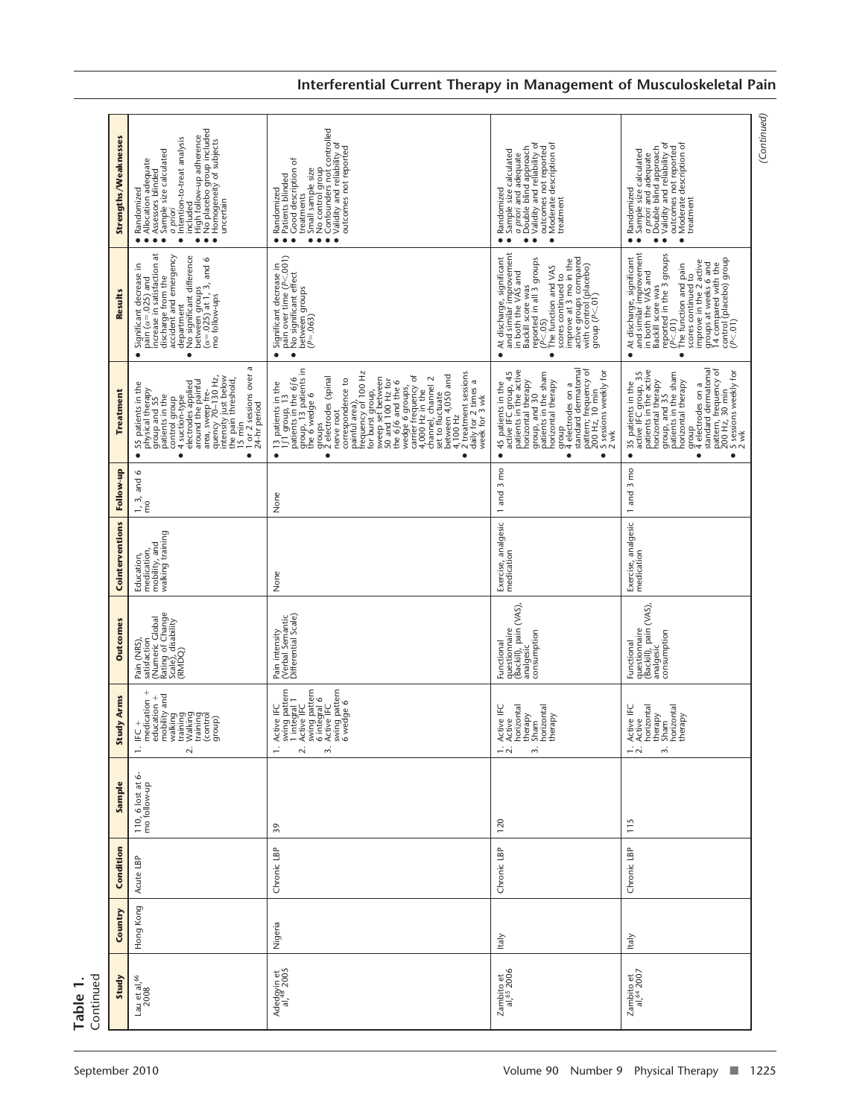| Strengths/Weaknesses | Intention-to-treat analysis<br>Sample size calculated<br>• Allocation adequate<br>• Assessors blinded<br>Randomized<br>included<br>a priori<br>$\bullet$<br>$\bullet$<br>$\bullet$                    | High follow-up adherence<br>No placebo group included<br>Homogeneity of subjects<br>uncertain<br>$\bullet\hspace{0.1cm} \bullet\hspace{0.1cm} \bullet\hspace{0.1cm} \bullet$ | $\bullet$ Small sample size<br>$\bullet$ No control group<br>$\bullet$ Confounders not controlled<br>$\bullet$ Confounders not controlled<br>outcomes not reported<br>Good description of<br>Patients blinded<br>Randomized<br>treatments<br>$\bullet\bullet\bullet\bullet$<br>$\bullet\bullet\bullet$                                                                                                                                                                                                                                   | Double blind approach<br>Validity and reliability of<br>outcomes not reported<br>Moderate description of<br>Sample size calculated<br>a priori and adequate<br>Randomized<br>treatment<br>$\bullet$<br>$\bullet$<br>$\bullet$                                                                                                     | <b>Sample size calculated</b><br><i>a priori</i> and adequate<br><b>b</b> Double blind approach<br><b>b</b> Validity and reliability of<br>outcomes not reported<br>Moderate description of<br>Randomized<br>treatment<br>$\bullet$<br>$\bullet$<br>$\bullet$                                                                                     |
|----------------------|-------------------------------------------------------------------------------------------------------------------------------------------------------------------------------------------------------|------------------------------------------------------------------------------------------------------------------------------------------------------------------------------|------------------------------------------------------------------------------------------------------------------------------------------------------------------------------------------------------------------------------------------------------------------------------------------------------------------------------------------------------------------------------------------------------------------------------------------------------------------------------------------------------------------------------------------|-----------------------------------------------------------------------------------------------------------------------------------------------------------------------------------------------------------------------------------------------------------------------------------------------------------------------------------|---------------------------------------------------------------------------------------------------------------------------------------------------------------------------------------------------------------------------------------------------------------------------------------------------------------------------------------------------|
| Results              | $p$ aı̈n ( $\alpha$ = .025) and<br>increase in satisfaction at<br>accident and emergency<br>Significant decrease in<br>discharge from the<br>department<br>$\bullet$<br>$\bullet$                     | No significant difference<br>between groups<br>$(\alpha = .025)$ at 1, 3, and 6<br>mo follow-ups                                                                             | pāin over time ( <i>P&lt;</i> .001)<br>▶ No significant effect<br>between groups<br>( <i>P</i> =.063)<br>Significant decrease in<br>$\bullet$<br>$\bullet$                                                                                                                                                                                                                                                                                                                                                                               | and similar improvement<br>in both the VAS and<br>At discharge, significant<br>active groups compared<br>with control (placebo)<br>group (P<.01)<br>reported in all 3 groups<br>improve at 3 mo in the<br>The function and VAS<br>scores continued to<br>Backill score was<br>(P < 05)<br>$\bullet$<br>$\bullet$                  | and similar improvement<br>in both the VAS and<br>Backill score was<br>reported in the 3 groups<br>At discharge, significant<br>groups at weeks 6 and<br>14 compared with the<br>control (placebo) group<br>( $P < 01$ )<br>improve in the 2 active<br>The function and pain<br>scores continued to<br>$\leq$ .01)<br>É<br>$\bullet$<br>$\bullet$ |
| <b>Treatment</b>     | around the painful<br>electrodes applied<br>patients in the<br>55 patients in the<br>physical therapy<br>group and 55<br>patients in the<br>4 suction-type<br>control group<br>$\bullet$<br>$\bullet$ | or 2 sessions over a<br>area, sweep fre-<br>quency 70–130 Hz,<br>intensity just below<br>the pain threshold,<br>24-hr period<br>IS min<br>$\bullet$                          | patients in the 6J6<br>group, 13 patients in<br>the 6 wedge 6<br>trequency of 100 Hz<br>2 treatment sessions<br>wedge 6 groups,<br>carrier frequency of<br>set to fluctuate<br>between 4,050 and<br>groups<br>2 electrodes (spinal<br>for burst´group,<br>sweep set`between<br>50 and 100 Hz for<br>channel, channel 2<br>correspondence to<br>the 6.6 and the 6<br>daily for 2 times a<br>13 patients in the<br>4,000 Hz in the<br>group, 13<br>week for 3 wk<br>painful area)<br>nerve root<br>4,100 Hz<br>$\bullet$<br>$\bullet$<br>٠ | standard dermatomal<br>active IFC group, 45<br>patients in the active<br>pattern; frequency of<br>200 Hz, 10 min<br>patients in the sham<br>5 sessions weekly for<br>2 wk<br>horizontal therapy<br>porizontal therapy<br>45 patients in the<br>group<br>4 electrodes on a<br>group, and 30<br>$\bullet$<br>$\bullet$<br>$\bullet$ | standard dermatomal<br>pattern, frequency of<br>200 Hz, 30 min<br>35 patients in the<br>active IFC group, 35<br>patients in the active<br>horizontal therapy<br>5 sessions weekly for<br>2 wk<br>group, and 35<br>patients in the sham<br>horizontal therapy<br>group<br>4 electrodes on a<br>$\bullet$<br>$\bullet$<br>$\bullet$                 |
| Follow-up            | $1, 3,$ and 6<br>mo                                                                                                                                                                                   |                                                                                                                                                                              | None                                                                                                                                                                                                                                                                                                                                                                                                                                                                                                                                     | 1 and 3 mo                                                                                                                                                                                                                                                                                                                        | 1 and 3 mo                                                                                                                                                                                                                                                                                                                                        |
| Cointerventions      | medication,<br>mobility, and<br>walking training<br>Education,                                                                                                                                        |                                                                                                                                                                              | None                                                                                                                                                                                                                                                                                                                                                                                                                                                                                                                                     | Exercise, analgesic<br>medication                                                                                                                                                                                                                                                                                                 | Exercise, analgesic<br>medication                                                                                                                                                                                                                                                                                                                 |
| <b>Outcomes</b>      | Pain (NRS),<br>satisfaction<br>(Numeric Global<br>Rating of Change<br>Scale), disability<br>(RMDQ)                                                                                                    |                                                                                                                                                                              | (Verbal Semántic<br>Differential Scale)<br>Pain intensity                                                                                                                                                                                                                                                                                                                                                                                                                                                                                | questionnaire<br>(Backill), pain (VAS),<br>analgesic<br>consumption<br>Functional                                                                                                                                                                                                                                                 | questionnaire<br>(Backill), pain (VAS),<br>analgesic<br>consumption<br>Functional                                                                                                                                                                                                                                                                 |
| <b>Study Arms</b>    | medication +<br>mobility and<br>education +<br>training<br>Walking<br>walking<br>$\overline{\phantom{a}}$<br>FC<br>$\sim$                                                                             | training<br>(control)<br>group)                                                                                                                                              | swing pattern<br>swing pattern<br>6 wedge 6<br>swing pattern<br>6 integral 6<br>Active IFC<br>1 intégral 1<br>Active IFC<br>Active IFC<br>2.<br>$\sim$                                                                                                                                                                                                                                                                                                                                                                                   | horizontal<br>Active IFC<br>horizontal<br>therapy<br>therapy<br>Active<br>Sham<br>$\frac{1}{2}$ $\sim$<br>~.                                                                                                                                                                                                                      | horizontal<br>Active IFC<br>horizontal<br>therapy<br>therapy<br>Active<br>Sham<br>$\frac{1}{2}$ $\sim$<br>ω.                                                                                                                                                                                                                                      |
| Sample               | 110, 6 lost at 6-<br>mo follow-up                                                                                                                                                                     |                                                                                                                                                                              | $\sqrt{3}$                                                                                                                                                                                                                                                                                                                                                                                                                                                                                                                               | 120                                                                                                                                                                                                                                                                                                                               | 115                                                                                                                                                                                                                                                                                                                                               |
| Condition            | Acute LBP                                                                                                                                                                                             |                                                                                                                                                                              | Chronic LBP                                                                                                                                                                                                                                                                                                                                                                                                                                                                                                                              | Chronic LBP                                                                                                                                                                                                                                                                                                                       | Chronic LBP                                                                                                                                                                                                                                                                                                                                       |
| Country              | Hong Kong                                                                                                                                                                                             |                                                                                                                                                                              | Nigeria                                                                                                                                                                                                                                                                                                                                                                                                                                                                                                                                  | Italy                                                                                                                                                                                                                                                                                                                             | Italy                                                                                                                                                                                                                                                                                                                                             |
| Continued<br>Study   | Lau et al, $66$<br>$2008$                                                                                                                                                                             |                                                                                                                                                                              | Adedoyin et<br>al, <sup>48</sup> 2005                                                                                                                                                                                                                                                                                                                                                                                                                                                                                                    | Zambito et<br>al, <sup>65</sup> 2006                                                                                                                                                                                                                                                                                              | Zambito et<br>al, <sup>64</sup> 2007                                                                                                                                                                                                                                                                                                              |

**Table 1.**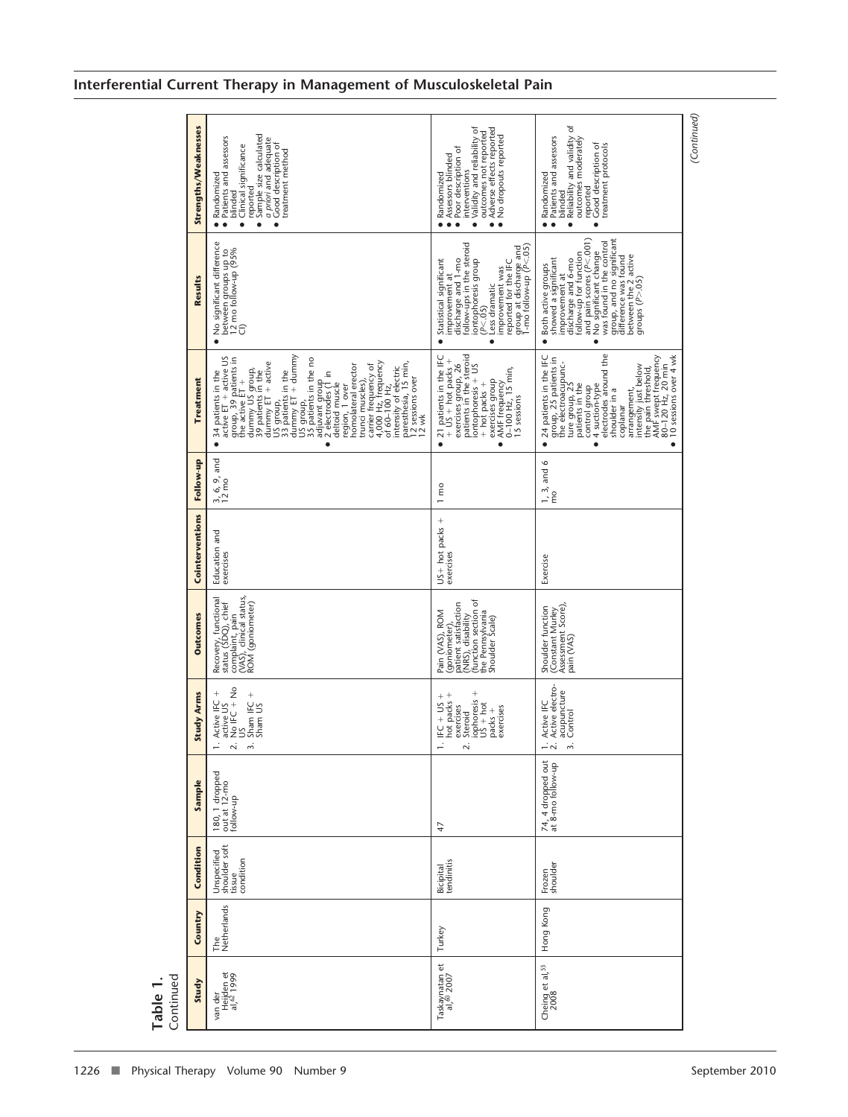|                      | Strengths/Weaknesses | Sample size calculated<br>Patients and assessors<br>a priori and adequate<br>Good description of<br>Clinical significance<br>treatment method<br>Randomized<br>reported<br>blinded<br>$\bullet$<br>$\bullet$                                                                                                                                                                                                                                                                                                                                                           | Adverse effects reported<br>No dropouts reported<br>Validity and reliability of<br>outcomes not reported<br>Poor description of<br>Assessors blinded<br>interventions<br>Randomized<br>$\bullet$<br>$\bullet$<br>$\bullet$                                                | Reliability and validity of<br>Patients and assessors<br>blinded<br>outcomes moderately<br>Good description of<br>treatment protocols<br>Randomized<br>reported<br>$\bullet$<br>$\bullet$<br>$\bullet$                                                                                                                                                                            | (Continued) |
|----------------------|----------------------|------------------------------------------------------------------------------------------------------------------------------------------------------------------------------------------------------------------------------------------------------------------------------------------------------------------------------------------------------------------------------------------------------------------------------------------------------------------------------------------------------------------------------------------------------------------------|---------------------------------------------------------------------------------------------------------------------------------------------------------------------------------------------------------------------------------------------------------------------------|-----------------------------------------------------------------------------------------------------------------------------------------------------------------------------------------------------------------------------------------------------------------------------------------------------------------------------------------------------------------------------------|-------------|
|                      | Results              | No significant difference<br>between groups up to<br>12 mo follow-up (95%<br>Cl)<br>$\bullet$                                                                                                                                                                                                                                                                                                                                                                                                                                                                          | follow-ups in the steroid<br>group at discharge and<br>1-mo follow-up $(P<.05)$<br>discharge and 1-mo<br>Statistical significant<br>iontophoresis group<br>reported for the IFC<br>improvement was<br>improvement at<br>Less dramatic<br>P < 05<br>$\bullet$<br>$\bullet$ | improvement at<br>discharge and 6-mo<br>follow-up for function<br>and pain scores (P<.001)<br>group, and no significant<br>difference was found<br>between the 2 active<br>was found in the control<br>No significant change<br>showed a significant<br>Both active groups<br>groups $(P > .05)$<br>$\bullet$<br>$\bullet$                                                        |             |
|                      | <b>Treatment</b>     | dummy ET + active<br>US group,<br>33 patients in the<br>33 patients in the my<br>US patients in the no<br>35 patients in the no<br>34 patients in the<br>active $ET +$ active US<br>group, 39 patients in<br>4,000 Hz, frequency<br>of 60–100 Hz,<br>paresthesia, 15 min,<br>carrier frequency of<br>homolateral erector<br>intensity of electric<br>dummy US group,<br>39 patients in the<br>adjuvant group<br>2 electrodes (1 in<br>12 sessions over<br>12 wk<br>trunci muscles),<br>the active $ET +$<br>deltoid muscle<br>region, 1 over<br>$\bullet$<br>$\bullet$ | $+$ US + hot packs +<br>exercises group, 26<br>patients in the steroid<br>21 patients in the IFC<br>iontophoresis + US<br>$0 - 100$ Hz, 15 min,<br>exercises group<br>AMF frequency<br>+ hot packs +<br>15 sessions<br>$\bullet$<br>$\bullet$                             | electrodes around the<br>10 sessions over 4 wk<br>24 patients in the IFC<br>group, 25 patients in<br>arrangement,<br>intensity just below<br>the pain threshold,<br>AMF swept frequency<br>$80-120$ Hz, 20 min<br>the electroacupunc-<br>4 suction-type<br>patients in the<br>ture group, 25<br>control group<br>shoulder in a<br>coplanar<br>$\bullet$<br>$\bullet$<br>$\bullet$ |             |
|                      | Follow-up            | $\frac{3}{12}$ , 6, 9, and                                                                                                                                                                                                                                                                                                                                                                                                                                                                                                                                             | $1 \text{ mo}$                                                                                                                                                                                                                                                            | $\frac{1}{10}$ , and 6                                                                                                                                                                                                                                                                                                                                                            |             |
|                      | Cointerventions      | Education and<br>exercises                                                                                                                                                                                                                                                                                                                                                                                                                                                                                                                                             | $US + hot$ packs $+$<br>exercises                                                                                                                                                                                                                                         | Exercise                                                                                                                                                                                                                                                                                                                                                                          |             |
|                      | <b>Outcomes</b>      | complaint, pain<br>(VAS), clinical status,<br>ROM (goniometer)<br>Recovery, functional<br>status (SDQ), chief                                                                                                                                                                                                                                                                                                                                                                                                                                                          | (function section of<br>(goniometer),<br>patient satisfaction<br>Pain (VAS), ROM<br>the Pennsylvania<br>Shoulder Scale)<br>(NRS), disability                                                                                                                              | (Constant Murley<br>Assessment Score),<br>pain (VAS)<br>Shoulder function                                                                                                                                                                                                                                                                                                         |             |
|                      | <b>Study Arms</b>    | No IFC + No<br>US<br>Active IFC +<br>active US<br>Sham IFC +<br>Sham US<br>$\div$<br>$\overline{a}$<br>$\dot{ }$                                                                                                                                                                                                                                                                                                                                                                                                                                                       | iophoresis +<br>US + hot<br>hot packs +<br>$\! + \!$<br>1. IFC $+$ US<br>exercises<br>exercises<br>packs +<br>Steroid<br>$\sim$                                                                                                                                           | Active electro-<br>acupuncture<br>Active IFC<br>Control<br>$\mathop{--}\limits_{\textstyle\sim}$<br>$\dot{3}$                                                                                                                                                                                                                                                                     |             |
|                      | Sample               | 180, 1 dropped<br>out at 12-mo<br>follow-up                                                                                                                                                                                                                                                                                                                                                                                                                                                                                                                            | $\overline{4}$                                                                                                                                                                                                                                                            | 74, 4 dropped out<br>at 8-mo follow-up                                                                                                                                                                                                                                                                                                                                            |             |
|                      | Condition            | Unspecified<br>shoulder soft<br>condition<br>tissue                                                                                                                                                                                                                                                                                                                                                                                                                                                                                                                    | Bicipital<br>tendinitis                                                                                                                                                                                                                                                   | shoulder<br>Frozen                                                                                                                                                                                                                                                                                                                                                                |             |
|                      | Country              | The<br>Netherlands                                                                                                                                                                                                                                                                                                                                                                                                                                                                                                                                                     | Turkey                                                                                                                                                                                                                                                                    | Hong Kong                                                                                                                                                                                                                                                                                                                                                                         |             |
| Continued<br>Table 1 | Study                | van der<br>Heijden et<br>al, <sup>62</sup> 1999                                                                                                                                                                                                                                                                                                                                                                                                                                                                                                                        | Taskaynatan et<br>al, <sup>60</sup> 2007                                                                                                                                                                                                                                  | Cheing et al, $53$<br>$2008$                                                                                                                                                                                                                                                                                                                                                      |             |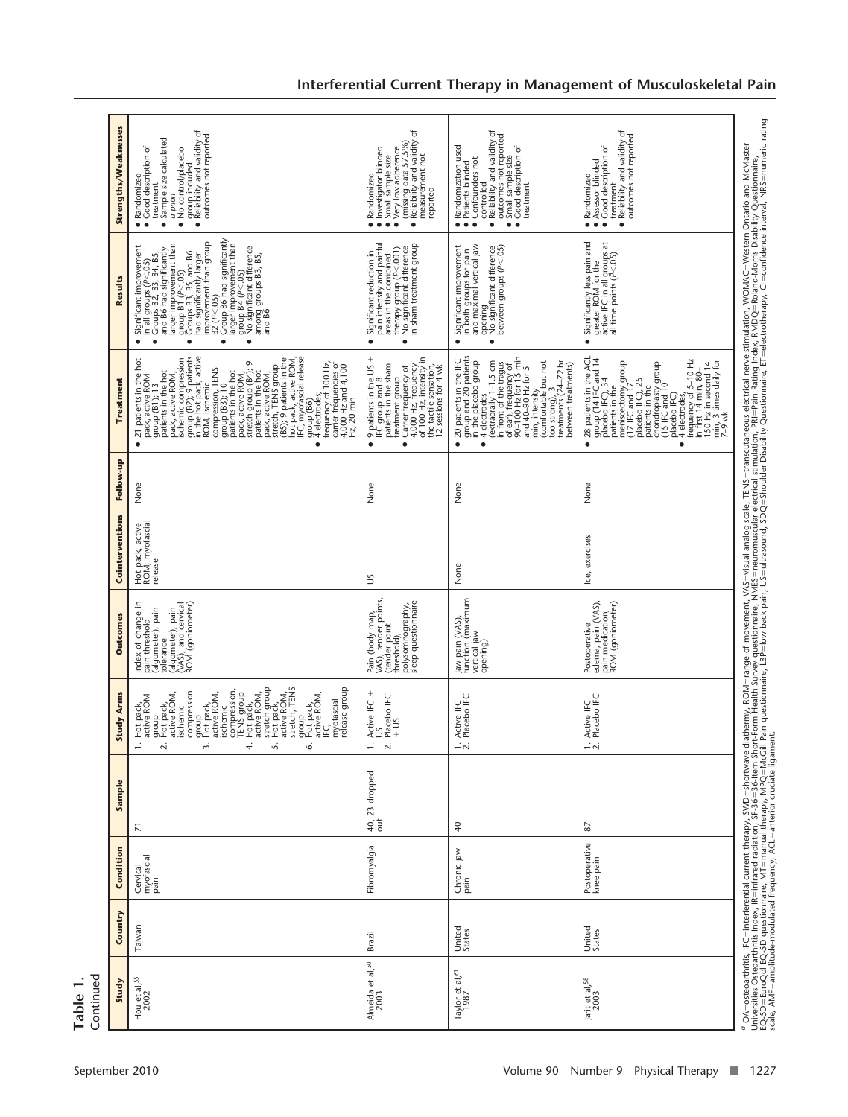|                        | group included<br>Reliability and validity of<br>outcomes not reported                                                                                                                                                                                                                                                                                                                                                                                                                                                                                                                                             |                                                                                                                                                                                                                                      |                                                                                                                                                                                                                                                                                                                                                           | treatment<br>Reliability and validity of                                                                                                                                                                                                                                                                                                                                       |
|------------------------|--------------------------------------------------------------------------------------------------------------------------------------------------------------------------------------------------------------------------------------------------------------------------------------------------------------------------------------------------------------------------------------------------------------------------------------------------------------------------------------------------------------------------------------------------------------------------------------------------------------------|--------------------------------------------------------------------------------------------------------------------------------------------------------------------------------------------------------------------------------------|-----------------------------------------------------------------------------------------------------------------------------------------------------------------------------------------------------------------------------------------------------------------------------------------------------------------------------------------------------------|--------------------------------------------------------------------------------------------------------------------------------------------------------------------------------------------------------------------------------------------------------------------------------------------------------------------------------------------------------------------------------|
| Strengths/Weaknesses   | • Sample size calculated<br>Good description of<br>· No control/placebo<br>Randomized<br>treatment<br>a priori<br>$\bullet$<br>$\bullet\bullet$                                                                                                                                                                                                                                                                                                                                                                                                                                                                    | • Very low adherence<br>(missing data 57.5%)<br>• Reliability and validity of<br>Investigator blinded<br>Small sample size<br>measurement not<br>Randomized<br>reported<br>$\bullet$<br>$\bullet$                                    | • Reliability and validity of<br>outcomes not reported<br>Randomization used<br>● Small sample size<br>● Good description of<br>· Confounders not<br>Patients blinded<br>controlled<br>treatment<br>$\bullet$                                                                                                                                             | outcomes not reported<br>● Randomized<br>● Assessor blinded<br>● Good description of<br>$\bullet$                                                                                                                                                                                                                                                                              |
| Results                | Group B6 had significantly<br>improvement than group<br>larger improvement thán<br>group B1 (P<.05)<br>• Groups B3, B5, and B6<br>had significantly larger<br>larger improvement than<br>group B4 (P<.05)<br>No significant difference<br>Significant improvement<br>in all groups $(P < .05)$<br>● Groups B2, B3, B4, B5, and B6 had significantly<br>among groups B3, B5,<br>and B6<br>B2(P < .05)<br>$\bullet$<br>$\bullet$<br>$\bullet$<br>$\bullet$                                                                                                                                                           | pain intensity and painful<br>therapy group (P<.001)<br>No significant difference<br>in sham treatment group<br>Significant reduction in<br>areas in the combined<br>$\bullet$<br>$\bullet$                                          | in both groups for pain<br>and maximal vertical jaw<br>Significant improvement<br>opening<br>▶ No significant difference<br>between groups ( <i>P&lt;</i> .05)<br>$\bullet$<br>$\bullet$                                                                                                                                                                  | • Significantly less pain and<br>greater ROM for the<br>active IFC in all groups at<br>all time points ( $\not\infty$ .05)                                                                                                                                                                                                                                                     |
| Treatment              | group $(B2)$ ; $9$ patients<br>in the hot pack, active<br>IFC, myofascial release<br>patients in the hot<br>ischemic compression<br>pack, active ROM,<br>stretch, TENS group<br>(BS); 9 patients in the<br>hot pack, active ROM,<br>Q<br>group (B6)<br>4 electrodes;<br>frequency of 100 Hz,<br>carrier frequencies of<br>4,000 Hz and 4,100<br>compression, TENS<br>group $(83)$ ; 10<br>patients in the hot<br>stretch group (B4);<br>patients in the hot<br>pack, active ROM<br>group (B1); 13<br>patients in the hot<br>pack, active ROM,<br>pack, active ROM<br>ROM, ischemic<br>Hz, 20 min<br>$\bullet$<br>٠ | of 100 Hz, intensity in<br>the tactile sensation,<br>patients in the sham<br>patients in the US<br>Carrier frequency of<br>4,000 Hz, frequency<br>12 sessions for 4 wk<br>treatment group<br>group and 8<br>⊻<br>Q<br>$\bullet$<br>٠ | • 20 patients in the IFC group and 20 patients in the placebo group $\bullet$ 4 electrodes<br>in front of the tragus<br>of ear), frequency of<br>90–100 Hz for 15 min<br>and 40–90 Hz for 5<br>(extraorally 1-1.5 cm<br>too strong), 3<br>treatments (24–72 hr<br>min, intensity<br>(comfortable but not<br>between treatments)<br>$\bullet$<br>$\bullet$ | 28 patients in the ACL<br>group (14 IFC and 14<br>placebo IFC), 34<br>4 electrodes,<br>frequency of 5–10 Hz<br>in first 14 min, 80–<br>meniscectomy group<br>(17 IFC and 17<br>min, 3 times daily for<br>7–9 wk<br>group<br>150 Hz in second 14<br>placebo IFC), 25<br>chondroplasty<br>(15 IFC and 10<br>patients in the<br>patients in the<br>placebo IFC)<br>$\bullet$<br>٠ |
| Follow-up              | None                                                                                                                                                                                                                                                                                                                                                                                                                                                                                                                                                                                                               | None                                                                                                                                                                                                                                 | None                                                                                                                                                                                                                                                                                                                                                      | None                                                                                                                                                                                                                                                                                                                                                                           |
| <b>Cointerventions</b> | Hot pack, active<br>ROM, myofascial<br>release                                                                                                                                                                                                                                                                                                                                                                                                                                                                                                                                                                     | S                                                                                                                                                                                                                                    | None                                                                                                                                                                                                                                                                                                                                                      | Ice, exercises                                                                                                                                                                                                                                                                                                                                                                 |
| <b>Outcomes</b>        | Index of change in<br>pain threshold<br>(algometer), pain<br>(VAS), and cervical<br>ROM (goniometer)<br>(algometer), pain<br>tolerance                                                                                                                                                                                                                                                                                                                                                                                                                                                                             | Pain (body map,<br>VAS), tender points,<br>(tender point<br>threshold),<br>polysomnography,<br>sleep questionnaire                                                                                                                   | Jaw pain (VAS),<br>function (maximum<br>vertical jaw<br>opening)                                                                                                                                                                                                                                                                                          | edema, pain (VAS),<br>pain medication,<br>ROM (goniometer)<br>Postoperative                                                                                                                                                                                                                                                                                                    |
| <b>Study Arms</b>      | stretch group<br>Hot pack,<br>active ROM,<br>stretch, TENS<br>release group<br>compression,<br>TENS group<br>compression<br>group<br>Hot pack,<br>active ROM,<br>Hot pack,<br>active ROM,<br>group<br>Hot pack,<br>active ROM,<br>Hot pack,<br>active ROM,<br>Hot pack,<br>active ROM<br>myofascial<br>ischemic<br>ischemic<br>group<br>⊮C,<br>$\sim$<br>m<br>4<br>ŋ<br>Ó                                                                                                                                                                                                                                          | Active IFC +<br>Placebo IFC<br>$20 +$<br>S<br>Ē<br>$\sim$                                                                                                                                                                            | Active IFC<br>Placebo IFC<br>$\overline{N}$                                                                                                                                                                                                                                                                                                               | Active IFC<br>Placebo IFC<br>$\overline{\phantom{a}}$                                                                                                                                                                                                                                                                                                                          |
| Sample                 | 71                                                                                                                                                                                                                                                                                                                                                                                                                                                                                                                                                                                                                 | 40, 23 dropped<br>out                                                                                                                                                                                                                | $\overline{40}$                                                                                                                                                                                                                                                                                                                                           | 2                                                                                                                                                                                                                                                                                                                                                                              |
| Condition              | Cervical<br>myofascial<br>pain                                                                                                                                                                                                                                                                                                                                                                                                                                                                                                                                                                                     | Fibromyalgia                                                                                                                                                                                                                         | Chronic jaw<br>pain                                                                                                                                                                                                                                                                                                                                       | Postoperative<br>knee pain                                                                                                                                                                                                                                                                                                                                                     |
| Country                | Taiwan                                                                                                                                                                                                                                                                                                                                                                                                                                                                                                                                                                                                             | Brazil                                                                                                                                                                                                                               | United<br>States                                                                                                                                                                                                                                                                                                                                          | United<br>States                                                                                                                                                                                                                                                                                                                                                               |
| Study                  | Hou et al, $^{55}$<br>$2002$                                                                                                                                                                                                                                                                                                                                                                                                                                                                                                                                                                                       | Almeida et al, <sup>50</sup><br>2003                                                                                                                                                                                                 | $\frac{1}{1987}$                                                                                                                                                                                                                                                                                                                                          | Jarit et al, $^{58}$<br>$2003$                                                                                                                                                                                                                                                                                                                                                 |

**Table 1.**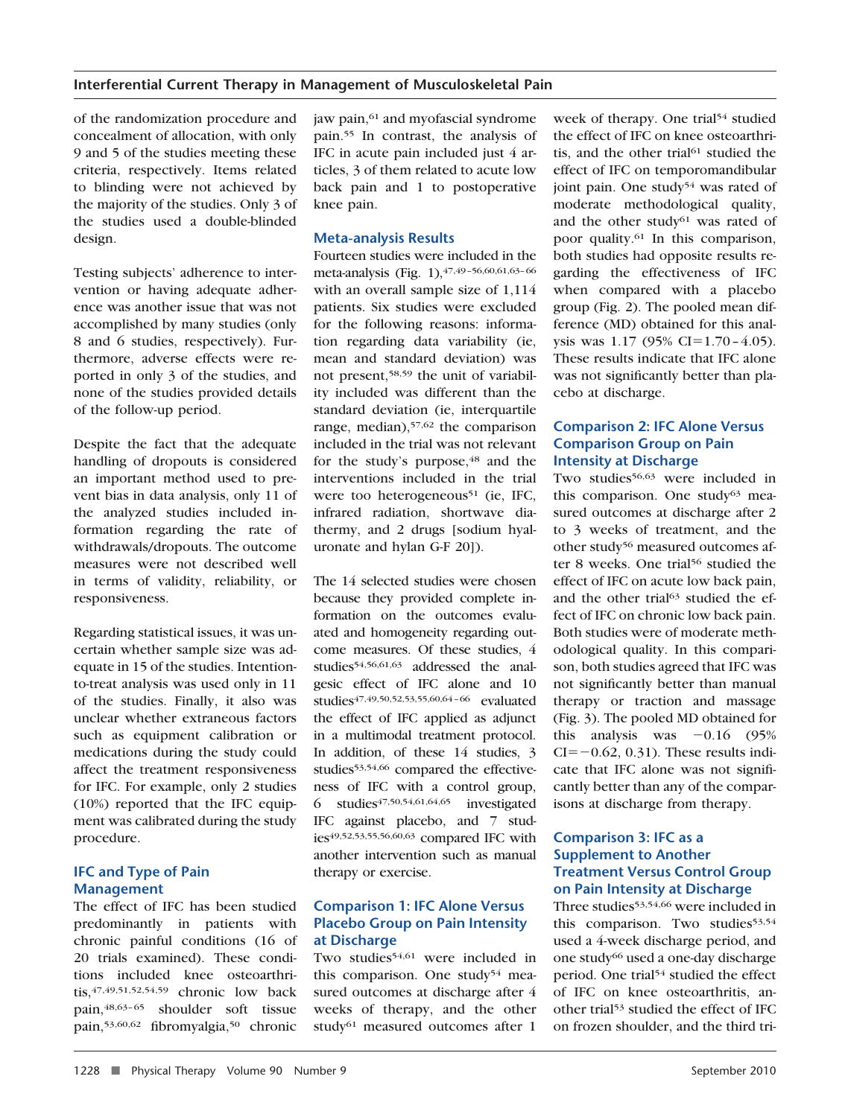of the randomization procedure and concealment of allocation, with only 9 and 5 of the studies meeting these criteria, respectively. Items related to blinding were not achieved by the majority of the studies. Only 3 of the studies used a double-blinded design.

Testing subjects' adherence to intervention or having adequate adherence was another issue that was not accomplished by many studies (only 8 and 6 studies, respectively). Furthermore, adverse effects were reported in only 3 of the studies, and none of the studies provided details of the follow-up period.

Despite the fact that the adequate handling of dropouts is considered an important method used to prevent bias in data analysis, only 11 of the analyzed studies included information regarding the rate of withdrawals/dropouts. The outcome measures were not described well in terms of validity, reliability, or responsiveness.

Regarding statistical issues, it was uncertain whether sample size was adequate in 15 of the studies. Intentionto-treat analysis was used only in 11 of the studies. Finally, it also was unclear whether extraneous factors such as equipment calibration or medications during the study could affect the treatment responsiveness for IFC. For example, only 2 studies (10%) reported that the IFC equipment was calibrated during the study procedure.

## **IFC and Type of Pain Management**

The effect of IFC has been studied predominantly in patients with chronic painful conditions (16 of 20 trials examined). These conditions included knee osteoarthritis,47,49,51,52,54,59 chronic low back pain,  $48,63-65$  shoulder soft tissue pain,53,60,62 fibromyalgia,50 chronic

jaw pain, <sup>61</sup> and myofascial syndrome pain.55 In contrast, the analysis of IFC in acute pain included just 4 articles, 3 of them related to acute low back pain and 1 to postoperative knee pain.

#### **Meta-analysis Results**

Fourteen studies were included in the meta-analysis (Fig. 1), 47, 49 - 56, 60, 61, 63 - 66 with an overall sample size of 1,114 patients. Six studies were excluded for the following reasons: information regarding data variability (ie, mean and standard deviation) was not present,58,59 the unit of variability included was different than the standard deviation (ie, interquartile range, median),57,62 the comparison included in the trial was not relevant for the study's purpose, <sup>48</sup> and the interventions included in the trial were too heterogeneous<sup>51</sup> (ie, IFC, infrared radiation, shortwave diathermy, and 2 drugs [sodium hyaluronate and hylan G-F 20]).

The 14 selected studies were chosen because they provided complete information on the outcomes evaluated and homogeneity regarding outcome measures. Of these studies, 4 studies54,56,61,63 addressed the analgesic effect of IFC alone and 10 studies47,49,50,52,53,55,60,64 –66 evaluated the effect of IFC applied as adjunct in a multimodal treatment protocol. In addition, of these 14 studies, 3 studies<sup>53,54,66</sup> compared the effectiveness of IFC with a control group, 6 studies $47,50,54,61,64,65$  investigated IFC against placebo, and 7 studies<sup>49,52,53,55,56,60,63</sup> compared IFC with another intervention such as manual therapy or exercise.

#### **Comparison 1: IFC Alone Versus Placebo Group on Pain Intensity at Discharge**

Two studies<sup>54,61</sup> were included in this comparison. One study<sup>54</sup> measured outcomes at discharge after 4 weeks of therapy, and the other study<sup>61</sup> measured outcomes after 1

week of therapy. One trial<sup>54</sup> studied the effect of IFC on knee osteoarthritis, and the other trial<sup> $61$ </sup> studied the effect of IFC on temporomandibular joint pain. One study<sup>54</sup> was rated of moderate methodological quality, and the other study<sup>61</sup> was rated of poor quality.61 In this comparison, both studies had opposite results regarding the effectiveness of IFC when compared with a placebo group (Fig. 2). The pooled mean difference (MD) obtained for this analysis was  $1.17$  (95% CI=1.70 – 4.05). These results indicate that IFC alone was not significantly better than placebo at discharge.

## **Comparison 2: IFC Alone Versus Comparison Group on Pain Intensity at Discharge**

Two studies<sup>56,63</sup> were included in this comparison. One study<sup>63</sup> measured outcomes at discharge after 2 to 3 weeks of treatment, and the other study56 measured outcomes after 8 weeks. One trial<sup>56</sup> studied the effect of IFC on acute low back pain, and the other trial<sup>63</sup> studied the effect of IFC on chronic low back pain. Both studies were of moderate methodological quality. In this comparison, both studies agreed that IFC was not significantly better than manual therapy or traction and massage (Fig. 3). The pooled MD obtained for this analysis was  $-0.16$  (95%)  $CI = -0.62$ , 0.31). These results indicate that IFC alone was not significantly better than any of the comparisons at discharge from therapy.

#### **Comparison 3: IFC as a Supplement to Another Treatment Versus Control Group on Pain Intensity at Discharge**

Three studies<sup>53,54,66</sup> were included in this comparison. Two studies $53,54$ used a 4-week discharge period, and one study66 used a one-day discharge period. One trial<sup>54</sup> studied the effect of IFC on knee osteoarthritis, another trial53 studied the effect of IFC on frozen shoulder, and the third tri-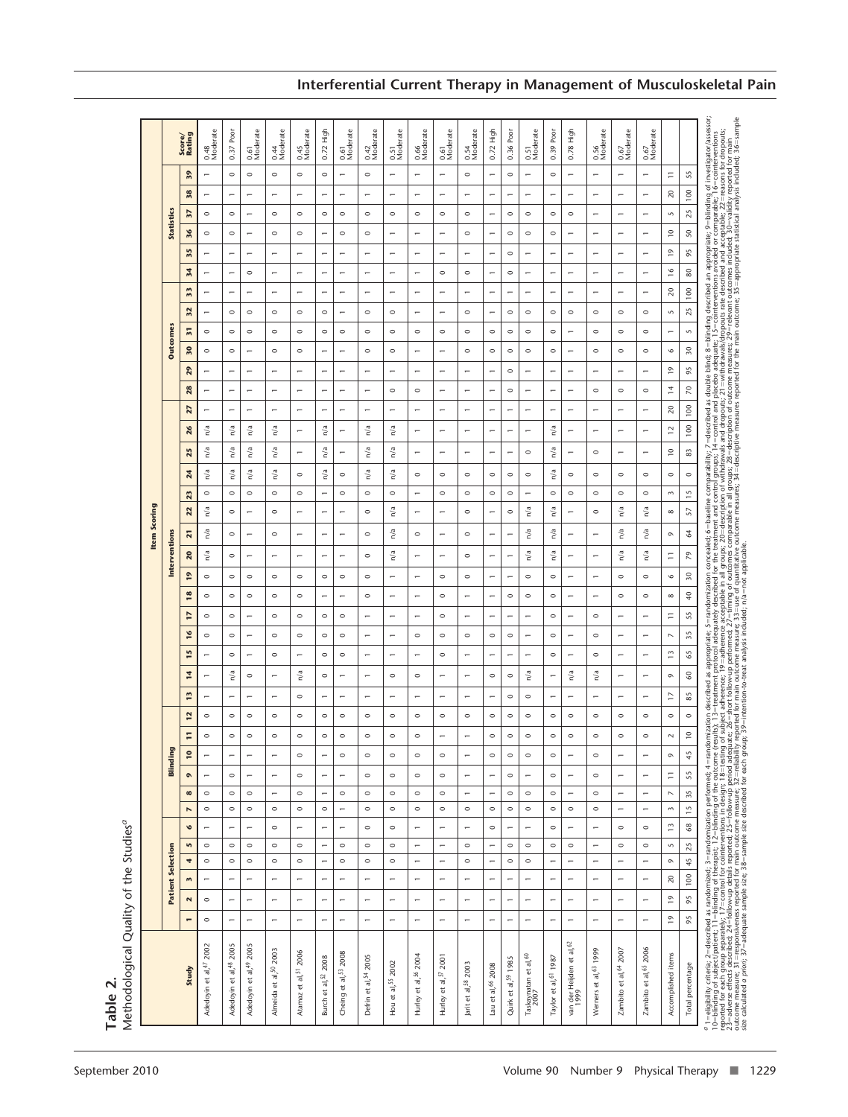|                     |                          | Score/<br>Rating<br>39     | 0.48<br>Moderate<br>-              | Poor<br>0.37<br>$\circ$                         | 0.61<br>Moderate<br>$\circ$        | 0.44<br>Moderate<br>$\circ$ | 0.45<br>Moderate<br>$\circ$         | High<br>0.72<br>$\circ$   | 0.61<br>Moderate<br>$\overline{\phantom{0}}$ | $0.42$<br>Moderate<br>$\circ$ | 0.51<br>Moderate<br>$\overline{\phantom{0}}$ | 0.66<br>Moderate<br>$\overline{ }$ | 0.61<br>Moderate<br>$\overline{ }$ | 0.54<br>Moderate<br>$\circ$ | High<br>0.72<br>$\overline{ }$      | Poor<br>0.36<br>$\circ$  | 0.51<br>Moderate<br>$\overline{a}$ | Poor<br>0.39<br>$\circ$          | 0.78 High<br>$\overline{\phantom{0}}$        | 0.56<br>Moderate<br>$\overline{ }$ | 0.67<br>Moderate<br>$\overline{\phantom{0}}$ | 0.67<br>Moderate<br>$\overline{a}$ | Ξ                       | 55                         |
|---------------------|--------------------------|----------------------------|------------------------------------|-------------------------------------------------|------------------------------------|-----------------------------|-------------------------------------|---------------------------|----------------------------------------------|-------------------------------|----------------------------------------------|------------------------------------|------------------------------------|-----------------------------|-------------------------------------|--------------------------|------------------------------------|----------------------------------|----------------------------------------------|------------------------------------|----------------------------------------------|------------------------------------|-------------------------|----------------------------|
|                     |                          | $\frac{8}{2}$              | $\overline{ }$                     | $\overline{ }$                                  | $\overline{a}$                     | $\overline{ }$              | $\overline{ }$                      | $\overline{ }$            | $\overline{a}$                               | $\overline{ }$                | $\overline{ }$                               | $\overline{ }$                     | $\overline{ }$                     | $\overline{a}$              | $\overline{\phantom{0}}$            | $\overline{ }$           | $\overline{ }$                     | $\overline{ }$                   | $\overline{ }$                               | $\overline{ }$                     | $\overline{a}$                               | $\overline{a}$                     | $\approx$               | 100                        |
|                     |                          | $\overline{37}$            | $\circ$                            | $\circ$                                         | $\overline{a}$                     | $\circ$                     | $\circ$                             | $\circ$                   | $\circ$                                      | $\circ$                       | $\circ$                                      | $\circ$                            | $\circ$                            | $\circ$                     | $\overline{a}$                      | $\circ$                  | $\circ$                            | $\circ$                          | $\circ$                                      | ÷                                  | $\overline{a}$                               | $\blacksquare$                     | $\sim$                  | 25                         |
|                     | <b>Statistics</b>        | 36                         | $\circ$                            | $\circ$                                         | $\overline{ }$                     | $\circ$                     | $\circ$                             | $\overline{a}$            | $\circ$                                      | $\circ$                       | $\blacksquare$                               | $\blacksquare$                     | -                                  | $\circ$                     | $\overline{ }$                      | $\circ$                  | $\circ$                            | $\circ$                          | $\overline{a}$                               | $\overline{ }$                     | $\overline{ }$                               | $\overline{a}$                     | $\overline{1}$          | 50                         |
|                     |                          | 35                         | ÷                                  | Ξ                                               | $\overline{a}$                     | $\overline{ }$              | $\overline{ }$                      | Ξ                         | $\blacksquare$                               | $\overline{a}$                | $\overline{\phantom{0}}$                     | $\overline{ }$                     | $\overline{ }$                     | $\overline{ }$              | $\overline{ }$                      | $\circ$                  |                                    | Ξ                                | $\overline{ }$                               | ÷                                  | $\overline{ }$                               | $\overline{ }$                     | $\overline{0}$          | 95                         |
|                     |                          | 34                         |                                    |                                                 | $\circ$                            | $\overline{ }$              |                                     |                           |                                              |                               | $\overline{a}$                               |                                    | $\circ$                            | $\circ$                     | $\overline{\phantom{a}}$            | $\circ$                  |                                    | ÷                                | $\overline{a}$                               |                                    |                                              |                                    | $\frac{6}{2}$           | $80$                       |
|                     |                          | 33                         | -                                  | $\overline{ }$                                  | $\overline{a}$                     | $\overline{\phantom{0}}$    | $\overline{ }$                      | $\overline{a}$            | $\overline{ }$                               | -                             | $\overline{ }$                               | -                                  | $\overline{ }$                     | $\overline{ }$              | $\overline{\phantom{0}}$            | $\overline{ }$           | $\overline{\phantom{0}}$           | $\overline{ }$                   | $\overline{\phantom{0}}$                     | ÷                                  | $\overline{ }$                               | $\overline{a}$                     | 20                      | 100                        |
|                     |                          | $\frac{2}{3}$              | -                                  | $\circ$                                         | $\circ$                            | $\circ$                     | $\circ$                             | $\circ$                   | $\overline{\phantom{0}}$                     | $\circ$                       | $\circ$                                      | $\blacksquare$                     | $\overline{a}$                     | $\circ$                     | $\overline{ }$                      | $\circ$                  | $\circ$                            | $\circ$                          | $\circ$                                      | $\circ$                            | $\circ$                                      | $\circ$                            | $\sqrt{2}$              | 25                         |
|                     |                          | $\mathbf{\dot{m}}$         | $\circ$                            | $\circ$                                         | $\circ$                            | $\circ$                     | $\circ$                             | $\circ$                   | $\circ$                                      | $\circ$                       | $\circ$                                      | $\circ$                            | $\circ$                            | $\circ$                     | $\circ$                             | $\circ$                  | $\circ$                            | $\circ$                          | $\overline{ }$                               | $\circ$                            | $\circ$                                      | $\circ$                            | $\overline{a}$          | $\sim$                     |
|                     | <b>Outcomes</b>          | $\boldsymbol{30}$          | $\circ$                            | $\circ$                                         |                                    | $\circ$                     | $\circ$                             | Ξ                         | $\overline{ }$                               | $\circ$                       | $\circ$                                      | $\overline{ }$                     | $\overline{a}$                     | $\circ$                     | $\circ$                             | $\circ$                  | $\circ$                            | $\circ$                          | $\qquad \qquad \longleftarrow$               | $\circ$                            | $\circ$                                      | $\circ$                            | $\circ$                 | $\overline{50}$            |
|                     |                          | 29                         | -                                  |                                                 | $\overline{ }$                     |                             | $\overline{ }$                      |                           |                                              | ÷                             |                                              | $\blacksquare$                     | -                                  | $\overline{ }$              | $\blacksquare$                      | $\circ$                  | $\overline{ }$                     | ÷                                | $\overline{a}$                               | $\overline{ }$                     | $\blacksquare$                               | $\overline{ }$                     | $\overline{9}$          | 95                         |
|                     |                          | 28                         | ÷                                  |                                                 | $\overline{ }$                     | $\overline{ }$              | $\overline{ }$                      | $\blacksquare$            |                                              | ÷                             | $\circ$                                      | $\circ$                            | $\overline{ }$                     | $\overline{a}$              | $\overline{ }$                      | $\circ$                  | $\overline{a}$                     | ÷                                | $\overline{a}$                               | $\circ$                            | $\circ$                                      | $\circ$                            | $\overline{1}$          | $\overline{70}$            |
|                     |                          | $\overline{z}$             | $\overline{\phantom{0}}$           | $\overline{ }$                                  | $\overline{a}$                     | $\overline{\phantom{0}}$    | $\overline{ }$                      | ۳                         | $\overline{ }$                               | -                             | $\overline{ }$                               | ۳                                  | $\overline{ }$                     | $\overline{ }$              | Ξ                                   | $\overline{\phantom{0}}$ | $\overline{a}$                     | $\overline{ }$                   | $\overline{\phantom{0}}$                     | ÷                                  | $\overline{ }$                               | $\overline{ }$                     | $\overline{\mathbf{c}}$ | 100                        |
|                     |                          | $\frac{8}{3}$              | n/a                                | n/a                                             | n/a                                | n/a                         | $\overline{ }$                      | n/a                       |                                              | n/a                           | n/a                                          | $\overline{ }$                     | ٠                                  |                             | ÷                                   | $\blacksquare$           | $\overline{ }$                     | n/a                              | $\overline{a}$                               |                                    | $\overline{ }$                               | $\overline{ }$                     | $\overline{12}$         | 100                        |
|                     |                          | $\mathbf{z}$               | n/a                                | n/a                                             | n/a                                | n/a                         | $\overline{ }$                      | n/a                       |                                              | n/a                           | ā<br>≧                                       | $\blacksquare$                     | $\blacksquare$                     | $\overline{ }$              | ÷                                   | $\blacksquare$           | $\circ$                            | n/a                              | $\overline{a}$                               | $\circ$                            | $\blacksquare$                               |                                    | $\overline{0}$          | 83                         |
|                     |                          | $\mathbf{z}$               | n/a                                | n/a                                             | n/a                                | n/a                         | $\circ$                             | n/a                       | $\circ$                                      | n/a                           | $\sigma$<br>É                                | $\circ$                            | $\circ$                            | $\circ$                     | $\circ$                             | $\circ$                  | $\circ$                            | n/a                              | $\circ$                                      | $\circ$                            | $\circ$                                      | $\circ$                            | $\circ$                 | $\circ$                    |
|                     |                          | $\overline{23}$            | $\circ$                            | $\circ$                                         | $\circ$                            | $\circ$                     | $\circ$                             | $\overline{a}$            | $\circ$                                      | $\circ$                       | $\circ$                                      | $\overline{a}$                     | $\circ$                            | $\circ$                     | $\circ$                             | $\circ$                  | $\overline{a}$                     | $\circ$                          | $\circ$                                      | $\circ$                            | $\circ$                                      | $\circ$                            | 3                       | $\overline{15}$            |
|                     |                          | $\overline{2}$             | n/a                                | $\circ$                                         | $\overline{ }$                     | $\circ$                     | $\overline{ }$                      | $\overline{a}$            |                                              | $\circ$                       | ā<br>≧                                       | $\overline{ }$                     | $\overline{a}$                     | $\circ$                     | $\blacksquare$                      | $\circ$                  | n/a                                | n/a                              | $\overline{\phantom{0}}$                     | $\circ$                            | n/a                                          | n/a                                | ${}^{\infty}$           | 57                         |
| <b>Item Scoring</b> |                          | $\overline{N}$             | n/a                                | $\circ$                                         | $\blacksquare$                     | $\circ$                     |                                     |                           |                                              | $\circ$                       | g<br>≧                                       | $\circ$                            | ٠                                  | $\circ$                     | ÷                                   | $\overline{ }$           | n/a                                | n/a                              | $\overline{a}$                               | ÷                                  | n/a                                          | n/a                                | ó                       | 64                         |
|                     | Interventions            | $\boldsymbol{z}$           | n/a                                | $\circ$                                         | $\overline{a}$                     | $\overline{ }$              | $\overline{ }$                      | ٠                         | $\overline{ }$                               | $\circ$                       | $\sigma$<br>≧                                | $\overline{ }$                     | $\overline{ }$                     | $\circ$                     | $\overline{ }$                      | Ξ                        | n/a                                | n/a                              | $\overline{\phantom{0}}$                     | $\overline{ }$                     | n/a                                          | n/a                                | Ξ                       | 79                         |
|                     |                          | $\overline{19}$            | $\circ$                            | $\circ$                                         | $\circ$                            | $\circ$                     | $\circ$                             | $\circ$                   | $\circ$                                      | $\circ$                       | $\blacksquare$                               | Ξ                                  | $\circ$                            | $\circ$                     | $\overline{\phantom{0}}$            | $\overline{\phantom{0}}$ | $\circ$                            | $\circ$                          | $\overline{ }$                               | ÷                                  | $\circ$                                      | $\circ$                            | $\circ$                 | $\overline{50}$            |
|                     |                          | $\overline{\mathbf{18}}$   | $\circ$                            | $\circ$                                         | $\circ$                            | $\circ$                     | $\circ$                             | $\overline{a}$            | $\overline{ }$                               | $\circ$                       | $\overline{\phantom{0}}$                     | $\overline{ }$                     | $\circ$                            | $\overline{\phantom{0}}$    | $\overline{ }$                      | $\circ$                  | $\circ$                            | $\circ$                          | $\overline{\phantom{0}}$                     | ÷                                  | $\circ$                                      | $\circ$                            | $\infty$                | $\overline{4}$             |
|                     |                          | F                          | $\circ$                            | $\circ$                                         | ÷                                  | $\circ$                     | $\circ$                             | $\circ$                   | $\circ$                                      | -                             | $\overline{ }$                               | $\overline{ }$                     | $\circ$                            | ÷                           | $\blacksquare$                      | $\overline{ }$           | $\overline{a}$                     | $\circ$                          | $\overline{a}$                               | $\circ$                            | $\overline{ }$                               | $\overline{a}$                     | Ξ                       | 55                         |
|                     |                          | $\overline{16}$            | $\circ$                            | $\circ$                                         | $\overline{ }$                     | $\circ$                     | $\circ$                             | $\circ$                   | $\circ$                                      | $\overline{ }$                | $\overline{ }$                               | $\circ$                            | $\circ$                            | $\circ$                     | $\circ$                             | $\circ$                  | $\overline{ }$                     | $\circ$                          | $\overline{ }$                               | $\circ$                            | $\overline{a}$                               | $\overline{ }$                     | $\sim$                  | 35                         |
|                     |                          | 15                         | -                                  | $\circ$                                         | $\overline{a}$                     | $\circ$                     | $\overline{a}$                      | $\circ$                   | $\circ$                                      | $\overline{a}$                | $\overline{\phantom{0}}$                     | $\overline{ }$                     | $\circ$                            | $\overline{ }$              | $\overline{ }$                      |                          | -                                  | $\circ$                          | $\qquad \qquad \longleftarrow$               | $\circ$                            | $\overline{\phantom{0}}$                     | $\overline{ }$                     | $\frac{3}{2}$           | $65$                       |
|                     |                          | $\overline{1}$             | -                                  | n/a                                             | $\circ$                            | $\overline{ }$              | n/a                                 | $\circ$                   | $\overline{ }$                               | -                             | $\circ$                                      | $\circ$                            | $\overline{a}$                     | $\overline{ }$              | $\circ$                             | $\circ$                  | n/a                                | ÷                                | n/a                                          | n/a                                | $\overline{ }$                               | $\overline{a}$                     | $\circ$                 | $\boldsymbol{\mathcal{S}}$ |
|                     |                          | 13                         | ÷                                  |                                                 |                                    | ÷                           | $\circ$                             |                           |                                              |                               | ٠                                            |                                    | ٠                                  | ÷                           | $\overline{a}$                      | $\circ$                  | $\circ$                            | $\overline{ }$                   | $\overline{a}$                               |                                    |                                              |                                    | $\overline{1}$          | $85$                       |
|                     |                          | 12                         | $\circ$                            | $\circ$                                         | $\circ$                            | $\circ$                     | $\circ$                             | $\circ$                   | $\circ$                                      | $\circ$                       | $\circ$                                      | $\circ$                            | $\circ$                            | $\circ$                     | $\circ$                             | $\circ$                  | $\circ$                            | $\circ$                          | $\circ$                                      | $\circ$                            | $\circ$                                      | $\circ$                            | $\circ$                 | $\circ$                    |
|                     |                          | Ξ                          | $\circ$                            | $\circ$                                         | $\circ$                            | $\circ$                     | $\circ$                             | $\circ$                   | $\circ$                                      | $\circ$                       | $\circ$                                      | $\circ$                            | $\overline{ }$                     | $\overline{ }$              | $\circ$                             | $\circ$                  | $\circ$                            | $\circ$                          | $\circ$                                      | $\circ$                            | $\circ$                                      | $\circ$                            | $\sim$                  | $\approx$                  |
|                     | Blinding                 | Ē                          |                                    |                                                 |                                    |                             | $\circ$                             |                           | $\circ$                                      | 0                             | $\circ$                                      | 0                                  | $\circ$                            |                             | $\circ$                             | $\circ$                  | $\circ$                            | o                                |                                              | 0                                  |                                              |                                    | o                       | 4                          |
|                     |                          | $\bullet$                  | ÷                                  | $\circ$                                         | $\overline{\phantom{a}}$           | $\overline{\phantom{0}}$    | $\circ$                             | $\overline{a}$            | $\overline{a}$                               | $\circ$                       | $\circ$                                      | $\circ$                            | $\circ$                            | $\overline{\phantom{0}}$    | $\overline{\phantom{m}}$            | $\circ$                  | $\overline{a}$                     | $\circ$                          | $\overline{\phantom{m}}$                     | $\circ$                            | $\overline{\phantom{0}}$                     | $\overline{ }$                     | Ξ                       | 55                         |
|                     |                          | $\infty$<br>$\overline{ }$ | $\circ$<br>$\circ$                 | $\circ$<br>$\circ$                              | $\circ$<br>$\circ$                 | $\overline{a}$<br>$\circ$   | $\circ$<br>$\circ$                  | $\overline{ }$<br>$\circ$ | $\circ$<br>$\overline{ }$                    | $\circ$<br>$\circ$            | $\circ$<br>$\circ$                           | $\circ$<br>$\circ$                 | $\circ$<br>$\circ$                 | -<br>$\circ$                | $\overline{\phantom{m}}$<br>$\circ$ | $\circ$<br>$\circ$       | $\circ$<br>$\circ$                 | $\circ$<br>$\circ$               | $\overline{a}$<br>$\circ$                    | $\circ$<br>$\circ$                 | $\overline{ }$<br>$\overline{\phantom{0}}$   | $\overline{a}$<br>$\overline{ }$   | $\sim$<br>3             | 35<br>$\frac{5}{2}$        |
|                     |                          | $\bullet$                  | $\overline{\phantom{0}}$           | $\overline{ }$                                  | $\overline{ }$                     | $\circ$                     | $\overline{ }$                      | $\overline{ }$            | $\overline{ }$                               | $\circ$                       | $\circ$                                      | $\blacksquare$                     | $\overline{\phantom{0}}$           | $\overline{ }$              | $\circ$                             | $\overline{\phantom{0}}$ | $\overline{ }$                     | $\circ$                          | $\overline{\phantom{0}}$                     | -                                  | $\circ$                                      | $\circ$                            | $\tilde{=}$             | $68$                       |
|                     |                          | $\mathbf{r}$               | $\circ$                            | $\circ$                                         | $\circ$                            | $\circ$                     | $\circ$                             | $\overline{ }$            | $\circ$                                      | $\circ$                       | $\circ$                                      | $\overline{\phantom{0}}$           | $\qquad \qquad \longleftarrow$     | $\circ$                     | $\overline{\phantom{0}}$            | $\circ$                  | $\circ$                            | $\circ$                          | $\circ$                                      | $\overline{\phantom{0}}$           | $\circ$                                      | $\circ$                            | $\sqrt{2}$              | 25                         |
|                     |                          | 4                          | $\circ$                            | $\circ$                                         | $\circ$                            | $\circ$                     | $\circ$                             | $\overline{a}$            | $\circ$                                      | $\circ$                       | $\circ$                                      | $\overline{\phantom{0}}$           |                                    | $\circ$                     | $\overline{\phantom{m}}$            | $\circ$                  | $\circ$                            | $\overline{a}$                   | $\qquad \qquad \longleftarrow$               | -                                  | $\overline{\phantom{0}}$                     | $\overline{a}$                     | $\circ$                 | 45                         |
|                     | <b>Patient Selection</b> | $\blacksquare$             | $\overline{a}$                     | $\overline{ }$                                  | $\overline{a}$                     |                             | $\overline{ }$                      | $\overline{ }$            | $\overline{a}$                               | $\overline{ }$                | $\overline{\phantom{0}}$                     | $\overline{a}$                     | $\overline{a}$                     | $\overline{ }$              | $\overline{\phantom{0}}$            | $\overline{\phantom{0}}$ | $\overline{a}$                     | $\overline{ }$                   | $\overline{a}$                               | $\overline{ }$                     | $\overline{a}$                               | $\overline{a}$                     | 20                      | 100                        |
|                     |                          | $\overline{\mathbf{r}}$    | $\circ$                            | $\overline{ }$                                  | $\overline{ }$                     | $\overline{a}$              | $\overline{ }$                      | Ξ                         | $\overline{a}$                               | ÷                             | $\blacksquare$                               | $\overline{\phantom{0}}$           | $\overline{a}$                     | ÷                           | $\overline{\phantom{a}}$            | $\overline{ }$           | $\overline{a}$                     | ÷                                |                                              | ÷                                  | $\blacksquare$                               | $\overline{a}$                     | $\overline{0}$          | 95                         |
|                     |                          | $\overline{\phantom{0}}$   | $\circ$                            | $\qquad \qquad$                                 | $\qquad \qquad \longleftarrow$     | $\overline{ }$              | $\overline{\phantom{0}}$            | $\overline{a}$            | $\overline{\phantom{0}}$                     | $\overline{a}$                | $\overline{ }$                               | $\overline{\phantom{0}}$           | $\overline{ }$                     | $\overline{ }$              | $\overline{\phantom{a}}$            | $\qquad \qquad$          | $\overline{\phantom{a}}$           | ÷                                | $\overline{ }$                               | $\overline{\phantom{0}}$           | $\overline{\phantom{0}}$                     | $\overline{\phantom{0}}$           | $\overline{1}$          | 95                         |
|                     |                          | Study                      | Adedoyin et al, <sup>47</sup> 2002 | al, 48 2005<br>$\tilde{\mathbf{e}}$<br>Adedoyin | Adedoyin et al, <sup>49</sup> 2005 | Almeida et al, 50 2003      | 2006<br>a <sub>2</sub><br>Atamaz et | Burch et al, 52 2008      | Cheing et al, 53 2008                        | Defrin et al, 54 2005         | 2002<br>Hou et al, 55                        | Hurley et al, 56 2004              | et al, 57 2001<br>Hurley           | Jarit et al, 58 2003        | Lau et al, <sup>66</sup> 2008       | Quirk et al, 59 1985     | Taskaynatan et al, $60$<br>2007    | Taylor et al, <sup>61</sup> 1987 | van der Heijden et al, <sup>62</sup><br>1999 | Werners et al, 63 1999             | Zambito et al, <sup>64</sup> 2007            | Zambito et al, 65 2006             | Accomplished items      | Total percentage           |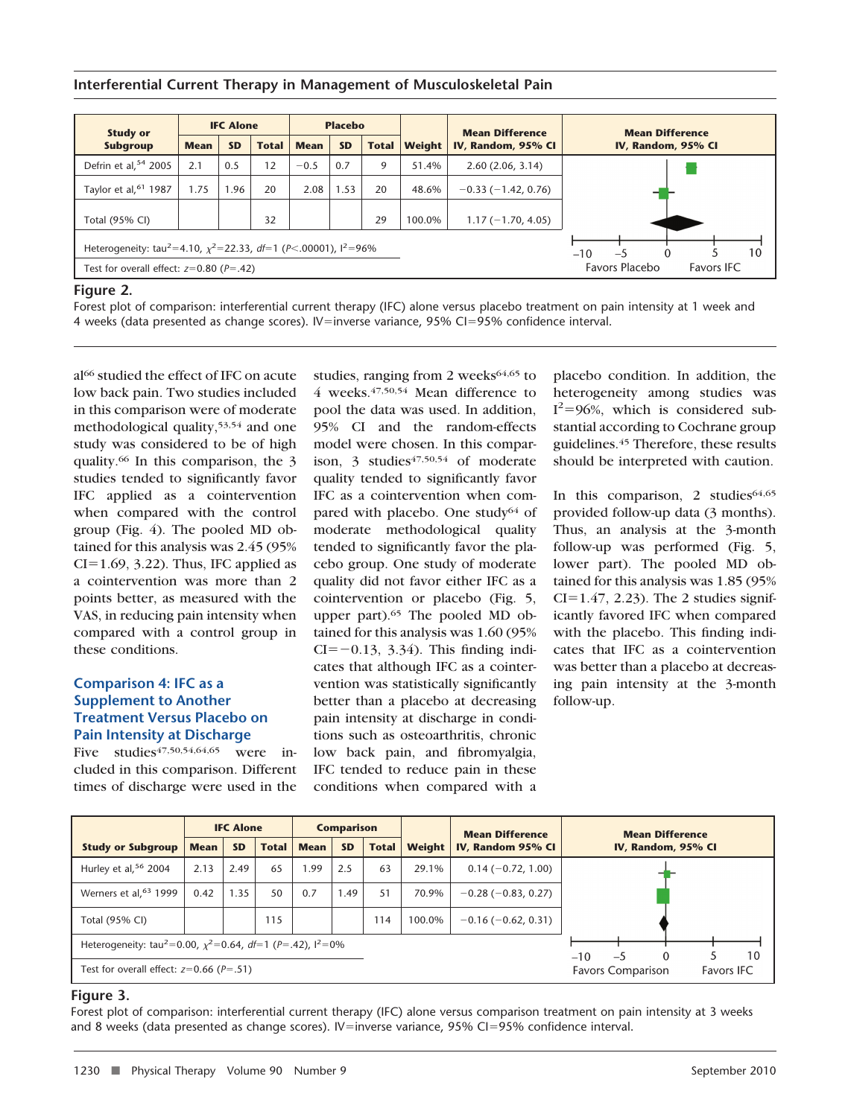| <b>Study or</b>                                                                                         |             | <b>IFC Alone</b> |                   |             | <b>Placebo</b> |              |        | <b>Mean Difference</b> | <b>Mean Difference</b>          |
|---------------------------------------------------------------------------------------------------------|-------------|------------------|-------------------|-------------|----------------|--------------|--------|------------------------|---------------------------------|
| Subgroup                                                                                                | <b>Mean</b> | <b>SD</b>        | <b>Total</b>      | <b>Mean</b> | <b>SD</b>      | <b>Total</b> | Weight | IV, Random, 95% CI     | IV, Random, 95% CI              |
| Defrin et al, 54 2005                                                                                   | 2.1         | 0.5              | $12 \overline{ }$ | $-0.5$      | 0.7            | 9            | 51.4%  | 2.60(2.06, 3.14)       |                                 |
| Taylor et al, <sup>61</sup> 1987                                                                        | 1.75        | 1.96             | 20                | 2.08        | 1.53           | 20           | 48.6%  | $-0.33(-1.42, 0.76)$   |                                 |
| Total (95% CI)                                                                                          |             |                  | 32                |             |                | 29           | 100.0% | $1.17(-1.70, 4.05)$    |                                 |
| Heterogeneity: tau <sup>2</sup> =4.10, $\chi$ <sup>2</sup> =22.33, df=1 (P<.00001), l <sup>2</sup> =96% |             |                  |                   |             |                |              |        |                        | 10<br>$-10$<br>$-5$<br>$\Omega$ |
| Test for overall effect: $z=0.80$ (P=.42)                                                               |             |                  |                   |             |                |              |        |                        | Favors Placebo<br>Favors IFC    |

#### **Figure 2.**

Forest plot of comparison: interferential current therapy (IFC) alone versus placebo treatment on pain intensity at 1 week and 4 weeks (data presented as change scores). IV=inverse variance, 95% CI=95% confidence interval.

al66 studied the effect of IFC on acute low back pain. Two studies included in this comparison were of moderate methodological quality,53,54 and one study was considered to be of high quality.66 In this comparison, the 3 studies tended to significantly favor IFC applied as a cointervention when compared with the control group (Fig. 4). The pooled MD obtained for this analysis was 2.45 (95%  $CI=1.69, 3.22$ ). Thus, IFC applied as a cointervention was more than 2 points better, as measured with the VAS, in reducing pain intensity when compared with a control group in these conditions.

#### **Comparison 4: IFC as a Supplement to Another Treatment Versus Placebo on Pain Intensity at Discharge**

Five studies<sup>47,50,54,64,65</sup> were included in this comparison. Different times of discharge were used in the

studies, ranging from 2 weeks $64,65$  to 4 weeks.47,50,54 Mean difference to pool the data was used. In addition, 95% CI and the random-effects model were chosen. In this comparison,  $3$  studies<sup>47,50,54</sup> of moderate quality tended to significantly favor IFC as a cointervention when compared with placebo. One study<sup>64</sup> of moderate methodological quality tended to significantly favor the placebo group. One study of moderate quality did not favor either IFC as a cointervention or placebo (Fig. 5, upper part).<sup>65</sup> The pooled MD obtained for this analysis was 1.60 (95%  $CI = -0.13$ , 3.34). This finding indicates that although IFC as a cointervention was statistically significantly better than a placebo at decreasing pain intensity at discharge in conditions such as osteoarthritis, chronic low back pain, and fibromyalgia, IFC tended to reduce pain in these conditions when compared with a

placebo condition. In addition, the heterogeneity among studies was  $I^2 = 96\%$ , which is considered substantial according to Cochrane group guidelines.45 Therefore, these results should be interpreted with caution.

In this comparison, 2 studies $64,65$ provided follow-up data (3 months). Thus, an analysis at the 3-month follow-up was performed (Fig. 5, lower part). The pooled MD obtained for this analysis was 1.85 (95%  $CI=1.47, 2.23$ ). The 2 studies significantly favored IFC when compared with the placebo. This finding indicates that IFC as a cointervention was better than a placebo at decreasing pain intensity at the 3-month follow-up.

|                                                                                         |             | <b>IFC Alone</b> |              |             | <b>Comparison</b> |              |        | <b>Mean Difference</b>    | <b>Mean Difference</b>                 |
|-----------------------------------------------------------------------------------------|-------------|------------------|--------------|-------------|-------------------|--------------|--------|---------------------------|----------------------------------------|
| <b>Study or Subgroup</b>                                                                | <b>Mean</b> | <b>SD</b>        | <b>Total</b> | <b>Mean</b> | <b>SD</b>         | <b>Total</b> | Weight | IV, Random 95% CI         | IV, Random, 95% CI                     |
| Hurley et al, <sup>56</sup> 2004                                                        | 2.13        | 2.49             | 65           | 1.99        | 2.5               | 63           | 29.1%  | $0.14(-0.72, 1.00)$       |                                        |
| Werners et al, <sup>63</sup> 1999                                                       | 0.42        | 1.35             | 50           | 0.7         | 49. ،             | 51           | 70.9%  | $-0.28$ ( $-0.83$ , 0.27) |                                        |
| Total (95% CI)                                                                          |             |                  | 115          |             |                   | 114          | 100.0% | $-0.16$ ( $-0.62$ , 0.31) |                                        |
| Heterogeneity: tau <sup>2</sup> =0.00, $\chi^2$ =0.64, df=1 (P=.42), l <sup>2</sup> =0% |             |                  |              |             |                   |              |        |                           | 10<br>$-10$<br>$-5$                    |
| Test for overall effect: $z=0.66$ ( $P=.51$ )                                           |             |                  |              |             |                   |              |        |                           | <b>Favors Comparison</b><br>Favors IFC |

#### **Figure 3.**

Forest plot of comparison: interferential current therapy (IFC) alone versus comparison treatment on pain intensity at 3 weeks and 8 weeks (data presented as change scores). IV=inverse variance, 95% CI=95% confidence interval.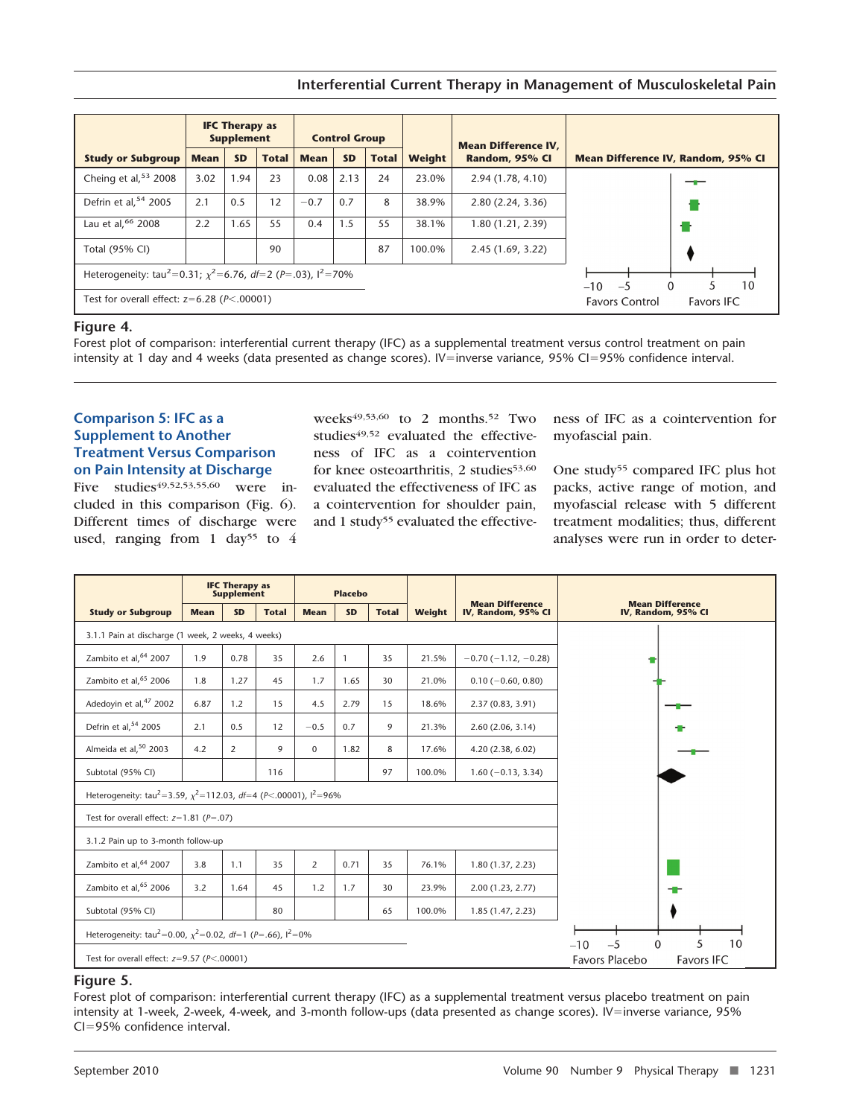|                                                                                          |             | <b>IFC Therapy as</b><br><b>Supplement</b> |       |             | <b>Control Group</b> |              |        | <b>Mean Difference IV.</b> |                                           |
|------------------------------------------------------------------------------------------|-------------|--------------------------------------------|-------|-------------|----------------------|--------------|--------|----------------------------|-------------------------------------------|
| <b>Study or Subgroup</b>                                                                 | <b>Mean</b> | <b>SD</b>                                  | Total | <b>Mean</b> | <b>SD</b>            | <b>Total</b> | Weight | Random, 95% CI             | <b>Mean Difference IV, Random, 95% CI</b> |
| Cheing et al, $53$ 2008                                                                  | 3.02        | 1.94                                       | 23    | 0.08        | 2.13                 | 24           | 23.0%  | 2.94(1.78, 4.10)           |                                           |
| Defrin et al, 54 2005                                                                    | 2.1         | 0.5                                        | 12    | $-0.7$      | 0.7                  | 8            | 38.9%  | 2.80(2.24, 3.36)           |                                           |
| Lau et al, 66 2008                                                                       | 2.2         | 1.65                                       | 55    | 0.4         | 1.5                  | 55           | 38.1%  | 1.80(1.21, 2.39)           |                                           |
| Total (95% CI)                                                                           |             |                                            | 90    |             |                      | 87           | 100.0% | 2.45(1.69, 3.22)           |                                           |
| Heterogeneity: tau <sup>2</sup> =0.31; $\chi^2$ =6.76, df=2 (P=.03), l <sup>2</sup> =70% |             |                                            |       |             |                      |              |        |                            | 10<br>$-10$<br>$-5$<br>$\Omega$           |
| Test for overall effect: $z=6.28$ ( $P<.00001$ )                                         |             |                                            |       |             |                      |              |        |                            | <b>Favors Control</b><br>Favors IFC       |

#### **Figure 4.**

Forest plot of comparison: interferential current therapy (IFC) as a supplemental treatment versus control treatment on pain intensity at 1 day and 4 weeks (data presented as change scores). IV=inverse variance, 95% CI=95% confidence interval.

# **Comparison 5: IFC as a Supplement to Another Treatment Versus Comparison on Pain Intensity at Discharge**

Five studies<sup>49,52,53,55,60</sup> were included in this comparison (Fig. 6). Different times of discharge were used, ranging from 1 day<sup>55</sup> to 4

weeks<sup>49,53,60</sup> to 2 months.<sup>52</sup> Two studies<sup>49,52</sup> evaluated the effectiveness of IFC as a cointervention for knee osteoarthritis, 2 studies<sup>53,60</sup> evaluated the effectiveness of IFC as a cointervention for shoulder pain, and 1 study<sup>55</sup> evaluated the effectiveness of IFC as a cointervention for myofascial pain.

One study<sup>55</sup> compared IFC plus hot packs, active range of motion, and myofascial release with 5 different treatment modalities; thus, different analyses were run in order to deter-

|                                                                                         |             | <b>IFC Therapy as</b><br><b>Supplement</b> |              |                | <b>Placebo</b> |              |        |                                              |                                                                    |
|-----------------------------------------------------------------------------------------|-------------|--------------------------------------------|--------------|----------------|----------------|--------------|--------|----------------------------------------------|--------------------------------------------------------------------|
| <b>Study or Subgroup</b>                                                                | <b>Mean</b> | <b>SD</b>                                  | <b>Total</b> | <b>Mean</b>    | <b>SD</b>      | <b>Total</b> | Weight | <b>Mean Difference</b><br>IV. Random. 95% CI | <b>Mean Difference</b><br>IV, Random, 95% CI                       |
| 3.1.1 Pain at discharge (1 week, 2 weeks, 4 weeks)                                      |             |                                            |              |                |                |              |        |                                              |                                                                    |
| Zambito et al, 64 2007                                                                  | 1.9         | 0.78                                       | 35           | 2.6            | $\mathbf{1}$   | 35           | 21.5%  | $-0.70(-1.12, -0.28)$                        |                                                                    |
| Zambito et al, 65 2006                                                                  | 1.8         | 1.27                                       | 45           | 1.7            | 1.65           | 30           | 21.0%  | $0.10 (-0.60, 0.80)$                         |                                                                    |
| Adedoyin et al, <sup>47</sup> 2002                                                      | 6.87        | 1.2                                        | 15           | 4.5            | 2.79           | 15           | 18.6%  | 2.37 (0.83, 3.91)                            |                                                                    |
| Defrin et al, 54 2005                                                                   | 2.1         | 0.5                                        | 12           | $-0.5$         | 0.7            | 9            | 21.3%  | 2.60(2.06, 3.14)                             |                                                                    |
| Almeida et al, 50 2003                                                                  | 4.2         | $\overline{2}$                             | 9            | $\Omega$       | 1.82           | 8            | 17.6%  | 4.20 (2.38, 6.02)                            |                                                                    |
| Subtotal (95% CI)                                                                       |             |                                            | 116          |                |                | 97           | 100.0% | $1.60(-0.13, 3.34)$                          |                                                                    |
| Heterogeneity: tau <sup>2</sup> =3.59, $\chi^2$ =112.03, df=4 (P<.00001), $l^2$ =96%    |             |                                            |              |                |                |              |        |                                              |                                                                    |
| Test for overall effect: $z=1.81$ ( $P=.07$ )                                           |             |                                            |              |                |                |              |        |                                              |                                                                    |
| 3.1.2 Pain up to 3-month follow-up                                                      |             |                                            |              |                |                |              |        |                                              |                                                                    |
| Zambito et al, 64 2007                                                                  | 3.8         | 1.1                                        | 35           | $\overline{2}$ | 0.71           | 35           | 76.1%  | 1.80(1.37, 2.23)                             |                                                                    |
| Zambito et al, 65 2006                                                                  | 3.2         | 1.64                                       | 45           | 1.2            | 1.7            | 30           | 23.9%  | 2.00(1.23, 2.77)                             |                                                                    |
| Subtotal (95% CI)                                                                       |             |                                            | 80           |                |                | 65           | 100.0% | 1.85(1.47, 2.23)                             |                                                                    |
| Heterogeneity: tau <sup>2</sup> =0.00, $\chi^2$ =0.02, df=1 (P=.66), l <sup>2</sup> =0% |             |                                            |              |                |                |              |        |                                              | 10                                                                 |
| Test for overall effect: $z=9.57$ ( $P<.00001$ )                                        |             |                                            |              |                |                |              |        |                                              | 5<br>$\mathbf{0}$<br>$-5$<br>$-10$<br>Favors Placebo<br>Favors IFC |

#### **Figure 5.**

Forest plot of comparison: interferential current therapy (IFC) as a supplemental treatment versus placebo treatment on pain intensity at 1-week, 2-week, 4-week, and 3-month follow-ups (data presented as change scores). IV=inverse variance, 95% CI=95% confidence interval.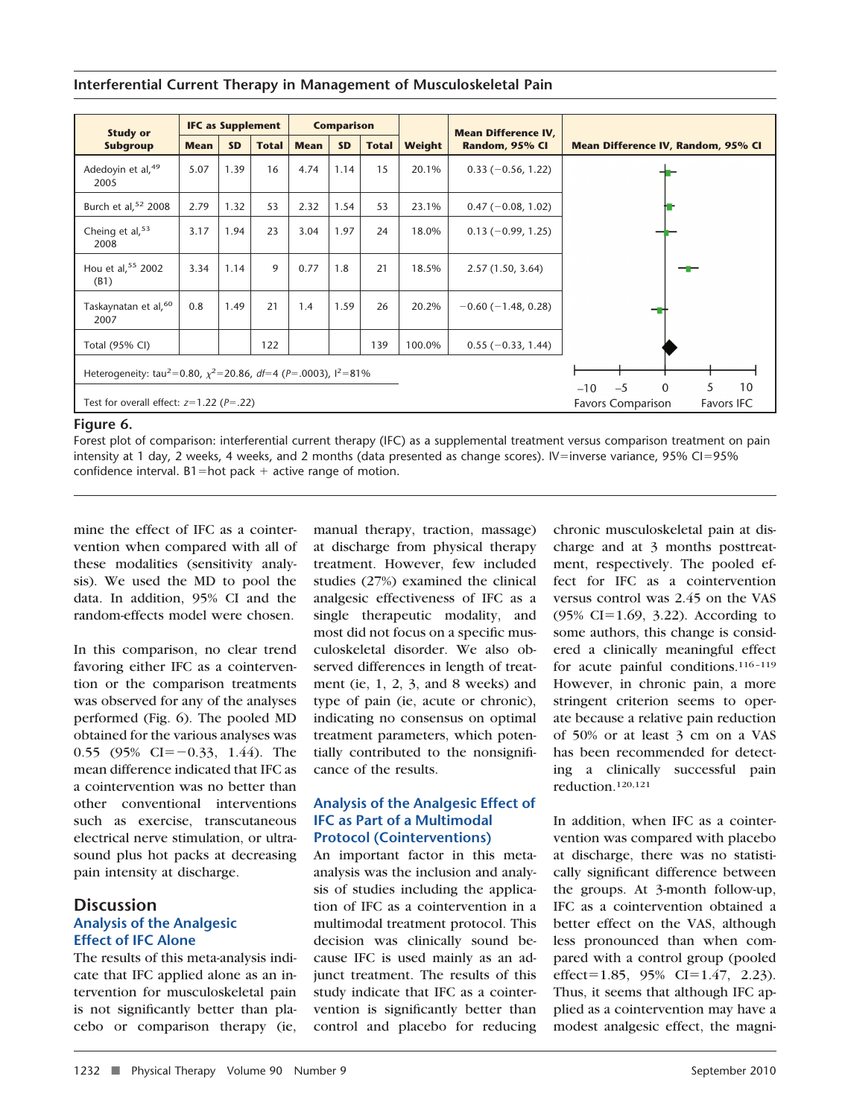|  |  |  |  |  |  | Interferential Current Therapy in Management of Musculoskeletal Pain |  |
|--|--|--|--|--|--|----------------------------------------------------------------------|--|
|--|--|--|--|--|--|----------------------------------------------------------------------|--|

| <b>Study or</b>                                                                             |             |           | <b>IFC as Supplement</b> |             | <b>Comparison</b> |              |        | <b>Mean Difference IV,</b> |                                                                                  |
|---------------------------------------------------------------------------------------------|-------------|-----------|--------------------------|-------------|-------------------|--------------|--------|----------------------------|----------------------------------------------------------------------------------|
| <b>Subgroup</b>                                                                             | <b>Mean</b> | <b>SD</b> | <b>Total</b>             | <b>Mean</b> | <b>SD</b>         | <b>Total</b> | Weight | Random, 95% CI             | <b>Mean Difference IV, Random, 95% CI</b>                                        |
| Adedoyin et al, 49<br>2005                                                                  | 5.07        | 1.39      | 16                       | 4.74        | 1.14              | 15           | 20.1%  | $0.33(-0.56, 1.22)$        |                                                                                  |
| Burch et al, <sup>52</sup> 2008                                                             | 2.79        | 1.32      | 53                       | 2.32        | 1.54              | 53           | 23.1%  | $0.47 (-0.08, 1.02)$       |                                                                                  |
| Cheing et al, $53$<br>2008                                                                  | 3.17        | 1.94      | 23                       | 3.04        | 1.97              | 24           | 18.0%  | $0.13(-0.99, 1.25)$        |                                                                                  |
| Hou et al, 55 2002<br>(B1)                                                                  | 3.34        | 1.14      | 9                        | 0.77        | 1.8               | 21           | 18.5%  | 2.57(1.50, 3.64)           |                                                                                  |
| Taskaynatan et al, <sup>60</sup><br>2007                                                    | 0.8         | 1.49      | 21                       | 1.4         | 1.59              | 26           | 20.2%  | $-0.60$ ( $-1.48$ , 0.28)  |                                                                                  |
| Total (95% CI)                                                                              |             |           | 122                      |             |                   | 139          | 100.0% | $0.55(-0.33, 1.44)$        |                                                                                  |
| Heterogeneity: tau <sup>2</sup> =0.80, $\chi^2$ =20.86, df=4 (P=.0003), l <sup>2</sup> =81% |             |           |                          |             |                   |              |        |                            |                                                                                  |
| Test for overall effect: $z=1.22$ (P=.22)                                                   |             |           |                          |             |                   |              |        |                            | 10<br>$-5$<br>$\Omega$<br>$-10$<br><b>Favors Comparison</b><br><b>Favors IFC</b> |

#### **Figure 6.**

Forest plot of comparison: interferential current therapy (IFC) as a supplemental treatment versus comparison treatment on pain intensity at 1 day, 2 weeks, 4 weeks, and 2 months (data presented as change scores). IV=inverse variance, 95% CI=95% confidence interval.  $B1$ =hot pack + active range of motion.

mine the effect of IFC as a cointervention when compared with all of these modalities (sensitivity analysis). We used the MD to pool the data. In addition, 95% CI and the random-effects model were chosen.

In this comparison, no clear trend favoring either IFC as a cointervention or the comparison treatments was observed for any of the analyses performed (Fig. 6). The pooled MD obtained for the various analyses was  $0.55$  (95% CI=-0.33, 1.44). The mean difference indicated that IFC as a cointervention was no better than other conventional interventions such as exercise, transcutaneous electrical nerve stimulation, or ultrasound plus hot packs at decreasing pain intensity at discharge.

# **Discussion Analysis of the Analgesic Effect of IFC Alone**

The results of this meta-analysis indicate that IFC applied alone as an intervention for musculoskeletal pain is not significantly better than placebo or comparison therapy (ie,

manual therapy, traction, massage) at discharge from physical therapy treatment. However, few included studies (27%) examined the clinical analgesic effectiveness of IFC as a single therapeutic modality, and most did not focus on a specific musculoskeletal disorder. We also observed differences in length of treatment (ie, 1, 2, 3, and 8 weeks) and type of pain (ie, acute or chronic), indicating no consensus on optimal treatment parameters, which potentially contributed to the nonsignificance of the results.

## **Analysis of the Analgesic Effect of IFC as Part of a Multimodal Protocol (Cointerventions)**

An important factor in this metaanalysis was the inclusion and analysis of studies including the application of IFC as a cointervention in a multimodal treatment protocol. This decision was clinically sound because IFC is used mainly as an adjunct treatment. The results of this study indicate that IFC as a cointervention is significantly better than control and placebo for reducing chronic musculoskeletal pain at discharge and at 3 months posttreatment, respectively. The pooled effect for IFC as a cointervention versus control was 2.45 on the VAS  $(95\% \text{ CI} = 1.69, 3.22)$ . According to some authors, this change is considered a clinically meaningful effect for acute painful conditions.<sup>116-119</sup> However, in chronic pain, a more stringent criterion seems to operate because a relative pain reduction of 50% or at least 3 cm on a VAS has been recommended for detecting a clinically successful pain reduction.120,121

In addition, when IFC as a cointervention was compared with placebo at discharge, there was no statistically significant difference between the groups. At 3-month follow-up, IFC as a cointervention obtained a better effect on the VAS, although less pronounced than when compared with a control group (pooled effect=1.85, 95% CI=1.47, 2.23). Thus, it seems that although IFC applied as a cointervention may have a modest analgesic effect, the magni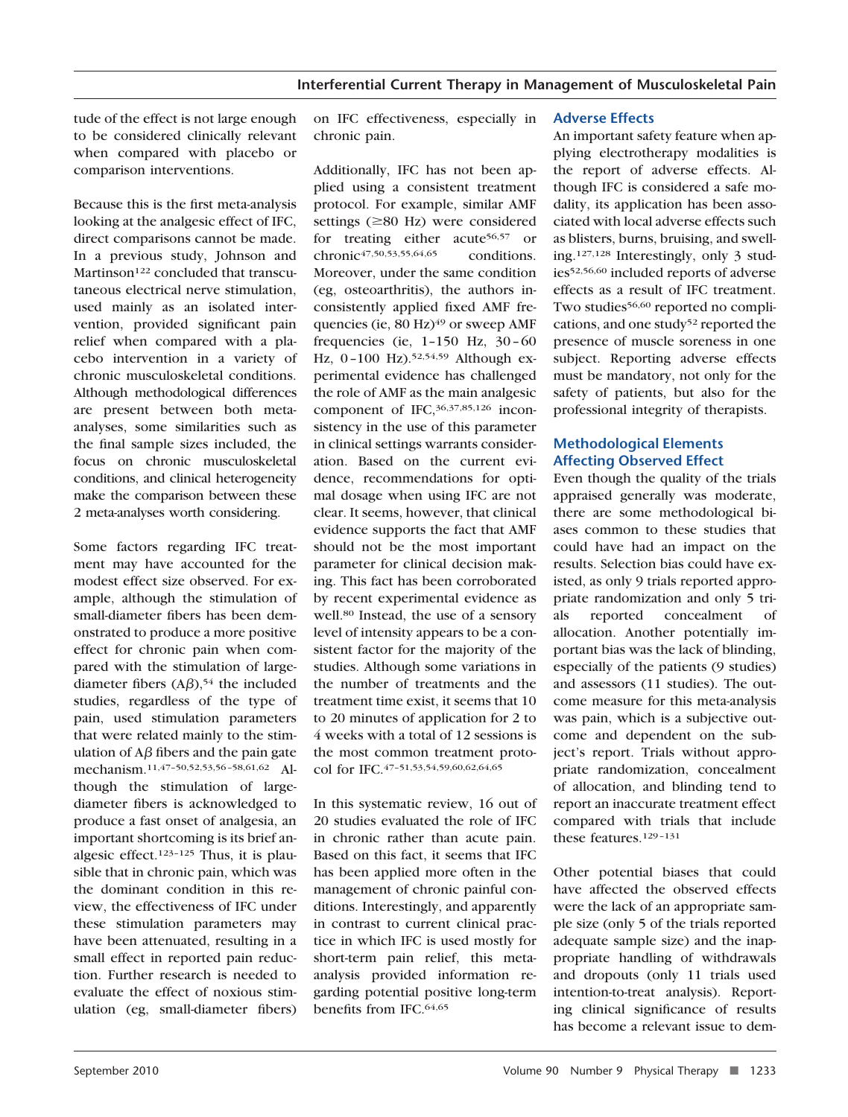tude of the effect is not large enough to be considered clinically relevant when compared with placebo or comparison interventions.

Because this is the first meta-analysis looking at the analgesic effect of IFC, direct comparisons cannot be made. In a previous study, Johnson and Martinson<sup>122</sup> concluded that transcutaneous electrical nerve stimulation, used mainly as an isolated intervention, provided significant pain relief when compared with a placebo intervention in a variety of chronic musculoskeletal conditions. Although methodological differences are present between both metaanalyses, some similarities such as the final sample sizes included, the focus on chronic musculoskeletal conditions, and clinical heterogeneity make the comparison between these 2 meta-analyses worth considering.

Some factors regarding IFC treatment may have accounted for the modest effect size observed. For example, although the stimulation of small-diameter fibers has been demonstrated to produce a more positive effect for chronic pain when compared with the stimulation of largediameter fibers  $(A\beta)$ ,<sup>54</sup> the included studies, regardless of the type of pain, used stimulation parameters that were related mainly to the stimulation of  $\overline{AB}$  fibers and the pain gate mechanism.11,47–50,52,53,56 –58,61,62 Although the stimulation of largediameter fibers is acknowledged to produce a fast onset of analgesia, an important shortcoming is its brief analgesic effect.<sup>123-125</sup> Thus, it is plausible that in chronic pain, which was the dominant condition in this review, the effectiveness of IFC under these stimulation parameters may have been attenuated, resulting in a small effect in reported pain reduction. Further research is needed to evaluate the effect of noxious stimulation (eg, small-diameter fibers)

on IFC effectiveness, especially in chronic pain.

Additionally, IFC has not been applied using a consistent treatment protocol. For example, similar AMF settings  $(\geq 80$  Hz) were considered for treating either acute56,57 or chronic<sup>47,50,53,55,64,65</sup> conditions. Moreover, under the same condition (eg, osteoarthritis), the authors inconsistently applied fixed AMF frequencies (ie,  $80 \text{ Hz}$ )<sup>49</sup> or sweep AMF frequencies (ie,  $1-150$  Hz,  $30-60$ Hz, 0-100 Hz).<sup>52,54,59</sup> Although experimental evidence has challenged the role of AMF as the main analgesic component of IFC,36,37,85,126 inconsistency in the use of this parameter in clinical settings warrants consideration. Based on the current evidence, recommendations for optimal dosage when using IFC are not clear. It seems, however, that clinical evidence supports the fact that AMF should not be the most important parameter for clinical decision making. This fact has been corroborated by recent experimental evidence as well.80 Instead, the use of a sensory level of intensity appears to be a consistent factor for the majority of the studies. Although some variations in the number of treatments and the treatment time exist, it seems that 10 to 20 minutes of application for 2 to 4 weeks with a total of 12 sessions is the most common treatment protocol for IFC.47–51,53,54,59,60,62,64,65

In this systematic review, 16 out of 20 studies evaluated the role of IFC in chronic rather than acute pain. Based on this fact, it seems that IFC has been applied more often in the management of chronic painful conditions. Interestingly, and apparently in contrast to current clinical practice in which IFC is used mostly for short-term pain relief, this metaanalysis provided information regarding potential positive long-term benefits from IFC.64,65

#### **Adverse Effects**

An important safety feature when applying electrotherapy modalities is the report of adverse effects. Although IFC is considered a safe modality, its application has been associated with local adverse effects such as blisters, burns, bruising, and swelling.127,128 Interestingly, only 3 studies52,56,60 included reports of adverse effects as a result of IFC treatment. Two studies<sup>56,60</sup> reported no complications, and one study<sup>52</sup> reported the presence of muscle soreness in one subject. Reporting adverse effects must be mandatory, not only for the safety of patients, but also for the professional integrity of therapists.

## **Methodological Elements Affecting Observed Effect**

Even though the quality of the trials appraised generally was moderate, there are some methodological biases common to these studies that could have had an impact on the results. Selection bias could have existed, as only 9 trials reported appropriate randomization and only 5 trials reported concealment of allocation. Another potentially important bias was the lack of blinding, especially of the patients (9 studies) and assessors (11 studies). The outcome measure for this meta-analysis was pain, which is a subjective outcome and dependent on the subject's report. Trials without appropriate randomization, concealment of allocation, and blinding tend to report an inaccurate treatment effect compared with trials that include these features.<sup>129-131</sup>

Other potential biases that could have affected the observed effects were the lack of an appropriate sample size (only 5 of the trials reported adequate sample size) and the inappropriate handling of withdrawals and dropouts (only 11 trials used intention-to-treat analysis). Reporting clinical significance of results has become a relevant issue to dem-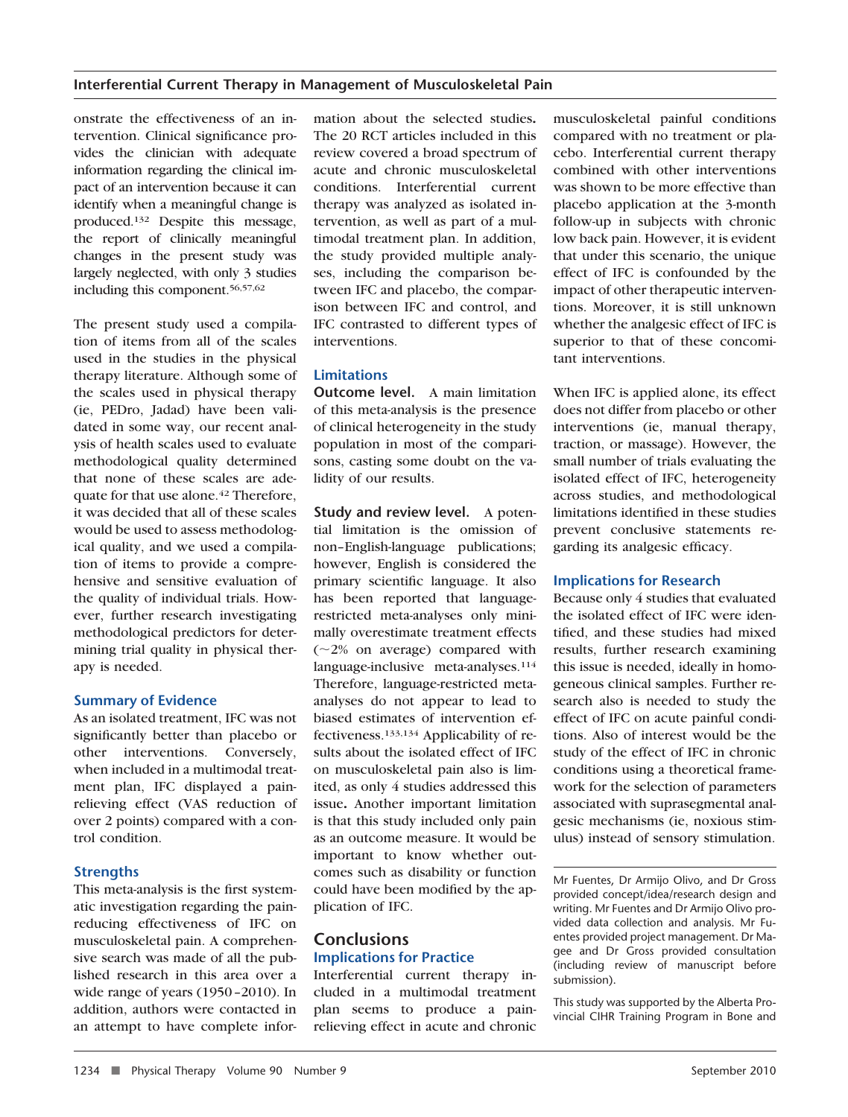onstrate the effectiveness of an intervention. Clinical significance provides the clinician with adequate information regarding the clinical impact of an intervention because it can identify when a meaningful change is produced.132 Despite this message, the report of clinically meaningful changes in the present study was largely neglected, with only 3 studies including this component.56,57,62

The present study used a compilation of items from all of the scales used in the studies in the physical therapy literature. Although some of the scales used in physical therapy (ie, PEDro, Jadad) have been validated in some way, our recent analysis of health scales used to evaluate methodological quality determined that none of these scales are adequate for that use alone.<sup>42</sup> Therefore, it was decided that all of these scales would be used to assess methodological quality, and we used a compilation of items to provide a comprehensive and sensitive evaluation of the quality of individual trials. However, further research investigating methodological predictors for determining trial quality in physical therapy is needed.

#### **Summary of Evidence**

As an isolated treatment, IFC was not significantly better than placebo or other interventions. Conversely, when included in a multimodal treatment plan, IFC displayed a painrelieving effect (VAS reduction of over 2 points) compared with a control condition.

#### **Strengths**

This meta-analysis is the first systematic investigation regarding the painreducing effectiveness of IFC on musculoskeletal pain. A comprehensive search was made of all the published research in this area over a wide range of years (1950 –2010). In addition, authors were contacted in an attempt to have complete information about the selected studies**.** The 20 RCT articles included in this review covered a broad spectrum of acute and chronic musculoskeletal conditions. Interferential current therapy was analyzed as isolated intervention, as well as part of a multimodal treatment plan. In addition, the study provided multiple analyses, including the comparison between IFC and placebo, the comparison between IFC and control, and IFC contrasted to different types of interventions.

# **Limitations**

**Outcome level.** A main limitation of this meta-analysis is the presence of clinical heterogeneity in the study population in most of the comparisons, casting some doubt on the validity of our results.

**Study and review level.** A potential limitation is the omission of non–English-language publications; however, English is considered the primary scientific language. It also has been reported that languagerestricted meta-analyses only minimally overestimate treatment effects  $(\sim 2\%$  on average) compared with language-inclusive meta-analyses.<sup>114</sup> Therefore, language-restricted metaanalyses do not appear to lead to biased estimates of intervention effectiveness.133,134 Applicability of results about the isolated effect of IFC on musculoskeletal pain also is limited, as only 4 studies addressed this issue**.** Another important limitation is that this study included only pain as an outcome measure. It would be important to know whether outcomes such as disability or function could have been modified by the application of IFC.

# **Conclusions Implications for Practice**

Interferential current therapy included in a multimodal treatment plan seems to produce a painrelieving effect in acute and chronic musculoskeletal painful conditions compared with no treatment or placebo. Interferential current therapy combined with other interventions was shown to be more effective than placebo application at the 3-month follow-up in subjects with chronic low back pain. However, it is evident that under this scenario, the unique effect of IFC is confounded by the impact of other therapeutic interventions. Moreover, it is still unknown whether the analgesic effect of IFC is superior to that of these concomitant interventions.

When IFC is applied alone, its effect does not differ from placebo or other interventions (ie, manual therapy, traction, or massage). However, the small number of trials evaluating the isolated effect of IFC, heterogeneity across studies, and methodological limitations identified in these studies prevent conclusive statements regarding its analgesic efficacy.

#### **Implications for Research**

Because only 4 studies that evaluated the isolated effect of IFC were identified, and these studies had mixed results, further research examining this issue is needed, ideally in homogeneous clinical samples. Further research also is needed to study the effect of IFC on acute painful conditions. Also of interest would be the study of the effect of IFC in chronic conditions using a theoretical framework for the selection of parameters associated with suprasegmental analgesic mechanisms (ie, noxious stimulus) instead of sensory stimulation.

Mr Fuentes, Dr Armijo Olivo, and Dr Gross provided concept/idea/research design and writing. Mr Fuentes and Dr Armijo Olivo provided data collection and analysis. Mr Fuentes provided project management. Dr Magee and Dr Gross provided consultation (including review of manuscript before submission).

This study was supported by the Alberta Provincial CIHR Training Program in Bone and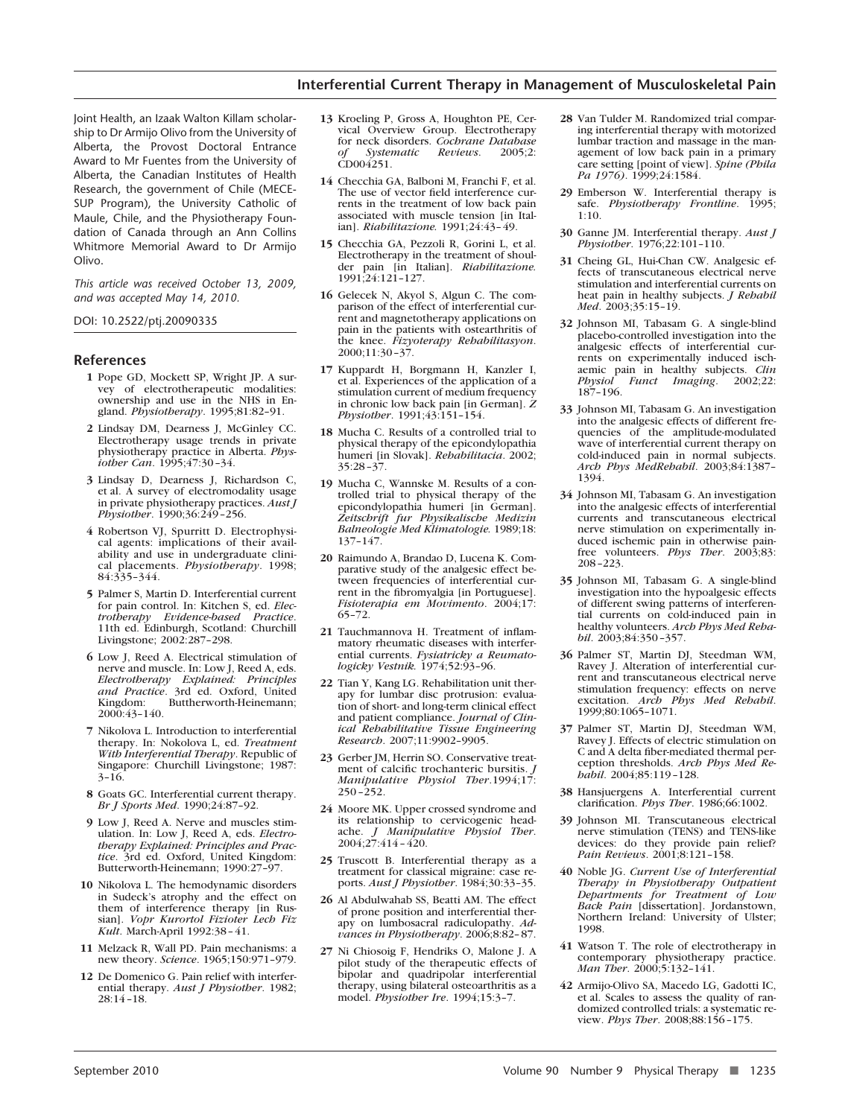Joint Health, an Izaak Walton Killam scholarship to Dr Armijo Olivo from the University of Alberta, the Provost Doctoral Entrance Award to Mr Fuentes from the University of Alberta, the Canadian Institutes of Health Research, the government of Chile (MECE-SUP Program), the University Catholic of Maule, Chile, and the Physiotherapy Foundation of Canada through an Ann Collins Whitmore Memorial Award to Dr Armijo Olivo.

*This article was received October 13, 2009, and was accepted May 14, 2010.*

DOI: 10.2522/ptj.20090335

#### **References**

- **1** Pope GD, Mockett SP, Wright JP. A survey of electrotherapeutic modalities: ownership and use in the NHS in England. *Physiotherapy*. 1995;81:82–91.
- **2** Lindsay DM, Dearness J, McGinley CC. Electrotherapy usage trends in private physiotherapy practice in Alberta. *Physiother Can*. 1995;47:30 –34.
- **3** Lindsay D, Dearness J, Richardson C, et al. A survey of electromodality usage in private physiotherapy practices. *Aust J Physiother*. 1990;36:249 –256.
- **4** Robertson VJ, Spurritt D. Electrophysical agents: implications of their availability and use in undergraduate clinical placements. *Physiotherapy*. 1998; 84:335–344.
- **5** Palmer S, Martin D. Interferential current for pain control. In: Kitchen S, ed. *Electrotherapy Evidence-based Practice*. 11th ed. Edinburgh, Scotland: Churchill Livingstone; 2002:287–298.
- **6** Low J, Reed A. Electrical stimulation of nerve and muscle. In: Low J, Reed A, eds. *Electrotherapy Explained: Principles and Practice*. 3rd ed. Oxford, United Kingdom: Buttherworth-Heinemann; 2000:43–140.
- **7** Nikolova L. Introduction to interferential therapy. In: Nokolova L, ed. *Treatment With Interferential Therapy*. Republic of Singapore: Churchill Livingstone; 1987: 3–16.
- **8** Goats GC. Interferential current therapy. *Br J Sports Med*. 1990;24:87–92.
- **9** Low J, Reed A. Nerve and muscles stimulation. In: Low J, Reed A, eds. *Electrotherapy Explained: Principles and Practice*. 3rd ed. Oxford, United Kingdom: Butterworth-Heinemann; 1990:27–97.
- **10** Nikolova L. The hemodynamic disorders in Sudeck's atrophy and the effect on them of interference therapy [in Russian]. *Vopr Kurortol Fizioter Lech Fiz Kult*. March-April 1992:38 – 41.
- **11** Melzack R, Wall PD. Pain mechanisms: a new theory. *Science*. 1965;150:971–979.
- **12** De Domenico G. Pain relief with interferential therapy. *Aust J Physiother*. 1982;  $28:14 - 18$
- **13** Kroeling P, Gross A, Houghton PE, Cervical Overview Group. Electrotherapy for neck disorders. *Cochrane Database Systematic Reviews.* CD004251.
- **14** Checchia GA, Balboni M, Franchi F, et al. The use of vector field interference currents in the treatment of low back pain associated with muscle tension [in Italian]. *Riabilitazione.* 1991;24:43– 49.
- **15** Checchia GA, Pezzoli R, Gorini L, et al. Electrotherapy in the treatment of shoulder pain [in Italian]. *Riabilitazione.* 1991;24:121–127.
- **16** Gelecek N, Akyol S, Algun C. The comparison of the effect of interferential current and magnetotherapy applications on pain in the patients with ostearthritis of the knee. *Fizyoterapy Rehabilitasyon*. 2000;11:30 –37.
- **17** Kuppardt H, Borgmann H, Kanzler I, et al. Experiences of the application of a stimulation current of medium frequency in chronic low back pain [in German]. *Z Physiother*. 1991;43:151–154.
- **18** Mucha C. Results of a controlled trial to physical therapy of the epicondylopathia humeri [in Slovak]. *Rehabilitacia*. 2002; 35:28 –37.
- **19** Mucha C, Wannske M. Results of a controlled trial to physical therapy of the epicondylopathia humeri [in German]. *Zeitschrift fur Physikalische Medizin Balneologie Med Klimatologie.* 1989;18: 137–147.
- **20** Raimundo A, Brandao D, Lucena K. Comparative study of the analgesic effect between frequencies of interferential current in the fibromyalgia [in Portuguese]. *Fisioterapia em Movimento*. 2004;17: 65–72.
- **21** Tauchmannova H. Treatment of inflammatory rheumatic diseases with interferential currents. *Fysiatricky a Reumatologicky Vestnik.* 1974;52:93–96.
- **22** Tian Y, Kang LG. Rehabilitation unit therapy for lumbar disc protrusion: evaluation of short- and long-term clinical effect and patient compliance. *Journal of Clinical Rehabilitative Tissue Engineering Research*. 2007;11:9902–9905.
- **23** Gerber JM, Herrin SO. Conservative treatment of calcific trochanteric bursitis. *J Manipulative Physiol Ther*.1994;17: 250 –252.
- **24** Moore MK. Upper crossed syndrome and its relationship to cervicogenic headache. *J Manipulative Physiol Ther*. 2004;27:414 – 420.
- **25** Truscott B. Interferential therapy as a treatment for classical migraine: case reports. *Aust J Physiother*. 1984;30:33–35.
- **26** Al Abdulwahab SS, Beatti AM. The effect of prone position and interferential therapy on lumbosacral radiculopathy. *Advances in Physiotherapy*. 2006;8:82– 87.
- **27** Ni Chiosoig F, Hendriks O, Malone J. A pilot study of the therapeutic effects of bipolar and quadripolar interferential therapy, using bilateral osteoarthritis as a model. *Physiother Ire*. 1994;15:3–7.
- **28** Van Tulder M. Randomized trial comparing interferential therapy with motorized lumbar traction and massage in the management of low back pain in a primary care setting [point of view]. *Spine (Phila Pa 1976)*. 1999;24:1584.
- **29** Emberson W. Interferential therapy is safe. *Physiotherapy Frontline*. 1995; 1:10.
- **30** Ganne JM. Interferential therapy. *Aust J Physiother*. 1976;22:101–110.
- **31** Cheing GL, Hui-Chan CW. Analgesic effects of transcutaneous electrical nerve stimulation and interferential currents on heat pain in healthy subjects. *J Rehabil Med*. 2003;35:15–19.
- **32** Johnson MI, Tabasam G. A single-blind placebo-controlled investigation into the analgesic effects of interferential currents on experimentally induced ischaemic pain in healthy subjects. *Clin Physiol Funct Imaging*. 2002;22: 187–196.
- **33** Johnson MI, Tabasam G. An investigation into the analgesic effects of different frequencies of the amplitude-modulated wave of interferential current therapy on cold-induced pain in normal subjects. *Arch Phys MedRehabil*. 2003;84:1387– 1394.
- **34** Johnson MI, Tabasam G. An investigation into the analgesic effects of interferential currents and transcutaneous electrical nerve stimulation on experimentally induced ischemic pain in otherwise painfree volunteers. *Phys Ther*. 2003;83: 208 –223.
- **35** Johnson MI, Tabasam G. A single-blind investigation into the hypoalgesic effects of different swing patterns of interferential currents on cold-induced pain in healthy volunteers. *Arch Phys Med Rehabil*. 2003;84:350 –357.
- **36** Palmer ST, Martin DJ, Steedman WM, Ravey J. Alteration of interferential current and transcutaneous electrical nerve stimulation frequency: effects on nerve excitation. *Arch Phys Med Rehabil*. 1999;80:1065–1071.
- **37** Palmer ST, Martin DJ, Steedman WM, Ravey J. Effects of electric stimulation on C and A delta fiber-mediated thermal perception thresholds. *Arch Phys Med Rehabil*. 2004;85:119 –128.
- **38** Hansjuergens A. Interferential current clarification. *Phys Ther*. 1986;66:1002.
- **39** Johnson MI. Transcutaneous electrical nerve stimulation (TENS) and TENS-like devices: do they provide pain relief? *Pain Reviews*. 2001;8:121–158.
- **40** Noble JG. *Current Use of Interferential Therapy in Physiotherapy Outpatient Departments for Treatment of Low Back Pain* [dissertation]. Jordanstown, Northern Ireland: University of Ulster; 1998.
- **41** Watson T. The role of electrotherapy in contemporary physiotherapy practice. *Man Ther*. 2000;5:132–141.
- **42** Armijo-Olivo SA, Macedo LG, Gadotti IC, et al. Scales to assess the quality of randomized controlled trials: a systematic review. *Phys Ther*. 2008;88:156 –175.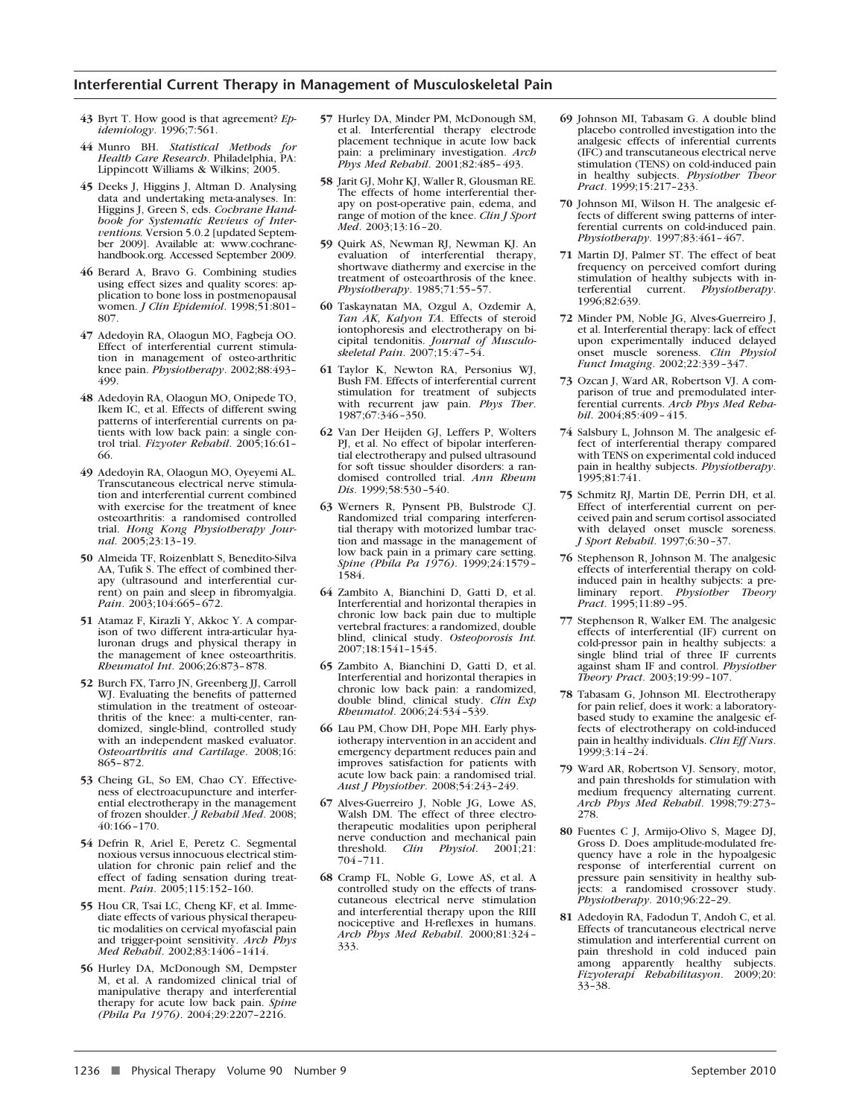- **43** Byrt T. How good is that agreement? *Epidemiology*. 1996;7:561.
- 44 Munro BH. *Statistical Methods Health Care Research*. Philadelphia, PA: Lippincott Williams & Wilkins; 2005.
- **45** Deeks J, Higgins J, Altman D. Analysing data and undertaking meta-analyses. In: Higgins J, Green S, eds. *Cochrane Handbook for Systematic Reviews of Interventions.* Version 5.0.2 [updated September 2009]. Available at: www.cochranehandbook.org. Accessed September 2009.
- **46** Berard A, Bravo G. Combining studies using effect sizes and quality scores: application to bone loss in postmenopausal women. *J Clin Epidemiol*. 1998;51:801– 807.
- **47** Adedoyin RA, Olaogun MO, Fagbeja OO. Effect of interferential current stimulation in management of osteo-arthritic knee pain. *Physiotherapy*. 2002;88:493– 499.
- **48** Adedoyin RA, Olaogun MO, Onipede TO, Ikem IC, et al. Effects of different swing patterns of interferential currents on patients with low back pain: a single control trial. *Fizyoter Rehabil*. 2005;16:61– 66.
- **49** Adedoyin RA, Olaogun MO, Oyeyemi AL. Transcutaneous electrical nerve stimulation and interferential current combined with exercise for the treatment of knee osteoarthritis: a randomised controlled trial. *Hong Kong Physiotherapy Journal*. 2005;23:13–19.
- **50** Almeida TF, Roizenblatt S, Benedito-Silva AA, Tufik S. The effect of combined therapy (ultrasound and interferential current) on pain and sleep in fibromyalgia. Pain. 2003;104:665-672
- **51** Atamaz F, Kirazli Y, Akkoc Y. A comparison of two different intra-articular hyaluronan drugs and physical therapy in the management of knee osteoarthritis. *Rheumatol Int*. 2006;26:873– 878.
- **52** Burch FX, Tarro JN, Greenberg JJ, Carroll WJ. Evaluating the benefits of patterned stimulation in the treatment of osteoarthritis of the knee: a multi-center, randomized, single-blind, controlled study with an independent masked evaluator. *Osteoarthritis and Cartilage*. 2008;16: 865– 872.
- **53** Cheing GL, So EM, Chao CY. Effectiveness of electroacupuncture and interferential electrotherapy in the management of frozen shoulder. *J Rehabil Med*. 2008; 40:166 –170.
- **54** Defrin R, Ariel E, Peretz C. Segmental noxious versus innocuous electrical stimulation for chronic pain relief and the effect of fading sensation during treatment. *Pain*. 2005;115:152–160.
- **55** Hou CR, Tsai LC, Cheng KF, et al. Immediate effects of various physical therapeutic modalities on cervical myofascial pain and trigger-point sensitivity. *Arch Phys Med Rehabil*. 2002;83:1406 –1414.
- **56** Hurley DA, McDonough SM, Dempster M, et al. A randomized clinical trial of manipulative therapy and interferential therapy for acute low back pain. *Spine (Phila Pa 1976)*. 2004;29:2207–2216.
- **57** Hurley DA, Minder PM, McDonough SM, et al. Interferential therapy electrode placement technique in acute low back pain: a preliminary investigation. *Arch Phys Med Rehabil*. 2001;82:485– 493.
- **58** Jarit GJ, Mohr KJ, Waller R, Glousman RE. The effects of home interferential therapy on post-operative pain, edema, and range of motion of the knee. *Clin J Sport Med*. 2003;13:16 –20.
- **59** Quirk AS, Newman RJ, Newman KJ. An evaluation of interferential therapy, shortwave diathermy and exercise in the treatment of osteoarthrosis of the knee. *Physiotherapy*. 1985;71:55–57.
- **60** Taskaynatan MA, Ozgul A, Ozdemir A, *Tan AK, Kalyon TA*. Effects of steroid iontophoresis and electrotherapy on bicipital tendonitis. *Journal of Musculoskeletal Pain*. 2007;15:47–54.
- **61** Taylor K, Newton RA, Personius WJ, Bush FM. Effects of interferential current stimulation for treatment of subjects with recurrent jaw pain. *Phys Ther*. 1987;67:346 –350.
- **62** Van Der Heijden GJ, Leffers P, Wolters PJ, et al. No effect of bipolar interferential electrotherapy and pulsed ultrasound for soft tissue shoulder disorders: a randomised controlled trial. *Ann Rheum Dis*. 1999;58:530 –540.
- **63** Werners R, Pynsent PB, Bulstrode CJ. Randomized trial comparing interferential therapy with motorized lumbar traction and massage in the management of low back pain in a primary care setting. *Spine (Phila Pa 1976)*. 1999;24:1579 – 1584.
- **64** Zambito A, Bianchini D, Gatti D, et al. Interferential and horizontal therapies in chronic low back pain due to multiple vertebral fractures: a randomized, double blind, clinical study. *Osteoporosis Int.* 2007;18:1541–1545.
- **65** Zambito A, Bianchini D, Gatti D, et al. Interferential and horizontal therapies in chronic low back pain: a randomized, double blind, clinical study. *Clin Exp Rheumatol*. 2006;24:534 –539.
- **66** Lau PM, Chow DH, Pope MH. Early physiotherapy intervention in an accident and emergency department reduces pain and improves satisfaction for patients with acute low back pain: a randomised trial. *Aust J Physiother*. 2008;54:243–249.
- **67** Alves-Guerreiro J, Noble JG, Lowe AS, Walsh DM. The effect of three electrotherapeutic modalities upon peripheral nerve conduction and mechanical pain<br>threshold. *Clin Physiol*. 2001;21: Clin Physiol. 704 –711.
- **68** Cramp FL, Noble G, Lowe AS, et al. A controlled study on the effects of transcutaneous electrical nerve stimulation and interferential therapy upon the RIII nociceptive and H-reflexes in humans. *Arch Phys Med Rehabil*. 2000;81:324 – 333.
- **69** Johnson MI, Tabasam G. A double blind placebo controlled investigation into the analgesic effects of inferential currents (IFC) and transcutaneous electrical nerve stimulation (TENS) on cold-induced pain in healthy subjects. *Physiother Theor Pract*. 1999;15:217–233.
- **70** Johnson MI, Wilson H. The analgesic effects of different swing patterns of interferential currents on cold-induced pain. *Physiotherapy*. 1997;83:461– 467.
- **71** Martin DJ, Palmer ST. The effect of beat frequency on perceived comfort during stimulation of healthy subjects with interferential current. *Physiotherapy*. 1996;82:639.
- **72** Minder PM, Noble JG, Alves-Guerreiro J, et al. Interferential therapy: lack of effect upon experimentally induced delayed onset muscle soreness. *Clin Physiol Funct Imaging*. 2002;22:339 –347.
- **73** Ozcan J, Ward AR, Robertson VJ. A comparison of true and premodulated interferential currents. *Arch Phys Med Rehabil*. 2004;85:409 – 415.
- **74** Salsbury L, Johnson M. The analgesic effect of interferential therapy compared with TENS on experimental cold induced pain in healthy subjects. *Physiotherapy*. 1995;81:741.
- **75** Schmitz RJ, Martin DE, Perrin DH, et al. Effect of interferential current on perceived pain and serum cortisol associated with delayed onset muscle soreness. *J Sport Rehabil*. 1997;6:30 –37.
- **76** Stephenson R, Johnson M. The analgesic effects of interferential therapy on coldinduced pain in healthy subjects: a preliminary report. *Physiother Theory Pract*. 1995;11:89 –95.
- **77** Stephenson R, Walker EM. The analgesic effects of interferential (IF) current on cold-pressor pain in healthy subjects: a single blind trial of three IF currents against sham IF and control. *Physiother Theory Pract*. 2003;19:99 –107.
- **78** Tabasam G, Johnson MI. Electrotherapy for pain relief, does it work: a laboratorybased study to examine the analgesic effects of electrotherapy on cold-induced pain in healthy individuals. *Clin Eff Nurs*. 1999;3:14 –24.
- **79** Ward AR, Robertson VJ. Sensory, motor, and pain thresholds for stimulation with medium frequency alternating current. *Arch Phys Med Rehabil*. 1998;79:273– 278.
- **80** Fuentes C J, Armijo-Olivo S, Magee DJ, Gross D. Does amplitude-modulated frequency have a role in the hypoalgesic response of interferential current on pressure pain sensitivity in healthy subjects: a randomised crossover study. *Physiotherapy*. 2010;96:22–29.
- **81** Adedoyin RA, Fadodun T, Andoh C, et al. Effects of trancutaneous electrical nerve stimulation and interferential current on pain threshold in cold induced pain among apparently healthy subjects. *Fizyoterapi Rehabilitasyon*. 2009;20: 33–38.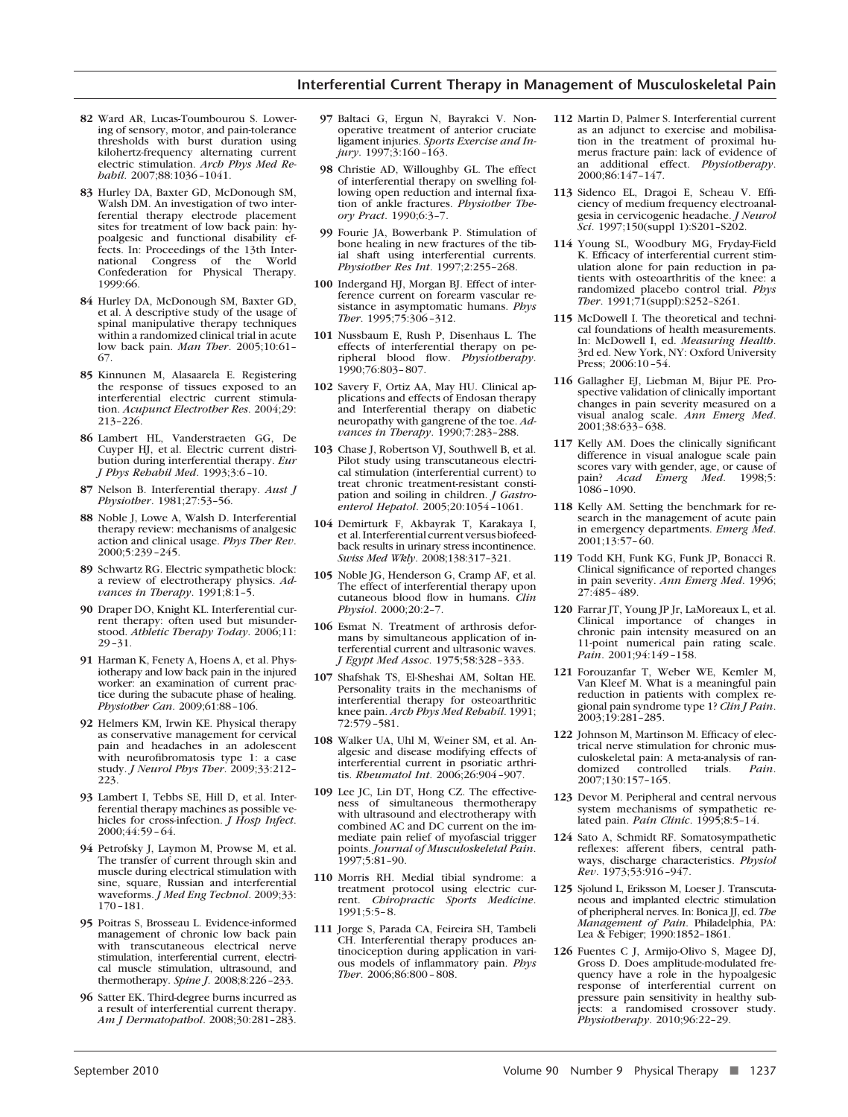- **82** Ward AR, Lucas-Toumbourou S. Lowering of sensory, motor, and pain-tolerance thresholds with burst duration using kilohertz-frequency alternating current electric stimulation. *Arch Phys Med Rehabil*. 2007;88:1036 –1041.
- **83** Hurley DA, Baxter GD, McDonough SM, Walsh DM. An investigation of two interferential therapy electrode placement sites for treatment of low back pain: hypoalgesic and functional disability effects. In: Proceedings of the 13th International Congress of the World Confederation for Physical Therapy. 1999:66.
- **84** Hurley DA, McDonough SM, Baxter GD, et al. A descriptive study of the usage of spinal manipulative therapy techniques within a randomized clinical trial in acute low back pain. *Man Ther*. 2005;10:61– 67.
- **85** Kinnunen M, Alasaarela E. Registering the response of tissues exposed to an interferential electric current stimulation. *Acupunct Electrother Res*. 2004;29: 213–226.
- **86** Lambert HL, Vanderstraeten GG, De Cuyper HJ, et al. Electric current distribution during interferential therapy. *Eur J Phys Rehabil Med*. 1993;3:6 –10.
- **87** Nelson B. Interferential therapy. *Aust J Physiother*. 1981;27:53–56.
- **88** Noble J, Lowe A, Walsh D. Interferential therapy review: mechanisms of analgesic action and clinical usage. *Phys Ther Rev*. 2000;5:239 –245.
- **89** Schwartz RG. Electric sympathetic block: a review of electrotherapy physics. *Advances in Therapy*. 1991;8:1–5.
- **90** Draper DO, Knight KL. Interferential current therapy: often used but misunderstood. *Athletic Therapy Today*. 2006;11: 29 –31.
- **91** Harman K, Fenety A, Hoens A, et al. Physiotherapy and low back pain in the injured worker: an examination of current practice during the subacute phase of healing. *Physiother Can*. 2009;61:88 –106.
- **92** Helmers KM, Irwin KE. Physical therapy as conservative management for cervical pain and headaches in an adolescent with neurofibromatosis type 1: a case study. *J Neurol Phys Ther*. 2009;33:212– 223.
- **93** Lambert I, Tebbs SE, Hill D, et al. Interferential therapy machines as possible vehicles for cross-infection. *J Hosp Infect*. 2000;44:59 – 64.
- **94** Petrofsky J, Laymon M, Prowse M, et al. The transfer of current through skin and muscle during electrical stimulation with sine, square, Russian and interferential waveforms. *J Med Eng Technol*. 2009;33: 170 –181.
- **95** Poitras S, Brosseau L. Evidence-informed management of chronic low back pain with transcutaneous electrical nerve stimulation, interferential current, electrical muscle stimulation, ultrasound, and thermotherapy. *Spine J*. 2008;8:226 –233.
- **96** Satter EK. Third-degree burns incurred as a result of interferential current therapy. *Am J Dermatopathol*. 2008;30:281–283.
- **97** Baltaci G, Ergun N, Bayrakci V. Nonoperative treatment of anterior cruciate ligament injuries. *Sports Exercise and Injury*. 1997;3:160-163.
- **98** Christie AD, Willoughby GL. The effect of interferential therapy on swelling following open reduction and internal fixation of ankle fractures. *Physiother Theory Pract*. 1990;6:3–7.
- **99** Fourie JA, Bowerbank P. Stimulation of bone healing in new fractures of the tibial shaft using interferential currents. *Physiother Res Int*. 1997;2:255–268.
- **100** Indergand HJ, Morgan BJ. Effect of interference current on forearm vascular resistance in asymptomatic humans. *Phys Ther*. 1995;75:306 –312.
- **101** Nussbaum E, Rush P, Disenhaus L. The effects of interferential therapy on peripheral blood flow. *Physiotherapy*. 1990;76:803– 807.
- **102** Savery F, Ortiz AA, May HU. Clinical applications and effects of Endosan therapy and Interferential therapy on diabetic neuropathy with gangrene of the toe. *Advances in Therapy*. 1990;7:283–288.
- **103** Chase J, Robertson VJ, Southwell B, et al. Pilot study using transcutaneous electrical stimulation (interferential current) to treat chronic treatment-resistant constipation and soiling in children. *J Gastroenterol Hepatol*. 2005;20:1054 –1061.
- **104** Demirturk F, Akbayrak T, Karakaya I, et al. Interferential current versus biofeedback results in urinary stress incontinence. *Swiss Med Wkly*. 2008;138:317–321.
- **105** Noble JG, Henderson G, Cramp AF, et al. The effect of interferential therapy upon cutaneous blood flow in humans. *Clin Physiol*. 2000;20:2–7.
- **106** Esmat N. Treatment of arthrosis deformans by simultaneous application of interferential current and ultrasonic waves. *J Egypt Med Assoc*. 1975;58:328 –333.
- **107** Shafshak TS, El-Sheshai AM, Soltan HE. Personality traits in the mechanisms of interferential therapy for osteoarthritic knee pain. *Arch Phys Med Rehabil*. 1991; 72:579 –581.
- **108** Walker UA, Uhl M, Weiner SM, et al. Analgesic and disease modifying effects of interferential current in psoriatic arthritis. *Rheumatol Int*. 2006;26:904 –907.
- **109** Lee JC, Lin DT, Hong CZ. The effectiveness of simultaneous thermotherapy with ultrasound and electrotherapy with combined AC and DC current on the immediate pain relief of myofascial trigger points. *Journal of Musculoskeletal Pain*. 1997;5:81–90.
- **110** Morris RH. Medial tibial syndrome: a treatment protocol using electric current. *Chiropractic Sports Medicine*. 1991;5:5– 8.
- **111** Jorge S, Parada CA, Feireira SH, Tambeli CH. Interferential therapy produces antinociception during application in various models of inflammatory pain. *Phys Ther*. 2006;86:800 – 808.
- **112** Martin D, Palmer S. Interferential current as an adjunct to exercise and mobilisation in the treatment of proximal humerus fracture pain: lack of evidence of an additional effect. *Physiotherapy*. 2000;86:147–147.
- **113** Sidenco EL, Dragoi E, Scheau V. Efficiency of medium frequency electroanalgesia in cervicogenic headache. *J Neurol Sci*. 1997;150(suppl 1):S201–S202.
- **114** Young SL, Woodbury MG, Fryday-Field K. Efficacy of interferential current stimulation alone for pain reduction in patients with osteoarthritis of the knee: a randomized placebo control trial. *Phys Ther*. 1991;71(suppl):S252–S261.
- **115** McDowell I. The theoretical and technical foundations of health measurements. In: McDowell I, ed. *Measuring Health*. 3rd ed. New York, NY: Oxford University Press; 2006:10-54.
- **116** Gallagher EJ, Liebman M, Bijur PE. Prospective validation of clinically important changes in pain severity measured on a visual analog scale. *Ann Emerg Med*. 2001;38:633– 638.
- **117** Kelly AM. Does the clinically significant difference in visual analogue scale pain scores vary with gender, age, or cause of<br>pain? Acad Emerg Med. 1998:5: pain? *Acad Emerg Med*. 1998;5: 1086 –1090.
- **118** Kelly AM. Setting the benchmark for research in the management of acute pain in emergency departments. *Emerg Med*. 2001;13:57– 60.
- **119** Todd KH, Funk KG, Funk JP, Bonacci R. Clinical significance of reported changes in pain severity. *Ann Emerg Med*. 1996; 27:485– 489.
- **120** Farrar JT, Young JP Jr, LaMoreaux L, et al. Clinical importance of changes in chronic pain intensity measured on an 11-point numerical pain rating scale. *Pain*. 2001;94:149 –158.
- **121** Forouzanfar T, Weber WE, Kemler M, Van Kleef M. What is a meaningful pain reduction in patients with complex regional pain syndrome type 1? *Clin J Pain*. 2003;19:281–285.
- **122** Johnson M, Martinson M. Efficacy of electrical nerve stimulation for chronic musculoskeletal pain: A meta-analysis of ran-<br>domized controlled trials. Pain. domized controlled trials. *Pain*. 2007;130:157–165.
- **123** Devor M. Peripheral and central nervous system mechanisms of sympathetic related pain. *Pain Clinic*. 1995;8:5–14.
- **124** Sato A, Schmidt RF. Somatosympathetic reflexes: afferent fibers, central pathways, discharge characteristics. *Physiol Rev*. 1973;53:916 –947.
- **125** Sjolund L, Eriksson M, Loeser J. Transcutaneous and implanted electric stimulation of pheripheral nerves. In: Bonica JJ, ed. *The Management of Pain*. Philadelphia, PA: Lea & Febiger; 1990:1852–1861.
- **126** Fuentes C J, Armijo-Olivo S, Magee DJ, Gross D. Does amplitude-modulated frequency have a role in the hypoalgesic response of interferential current on pressure pain sensitivity in healthy subjects: a randomised crossover study. *Physiotherapy*. 2010;96:22–29.